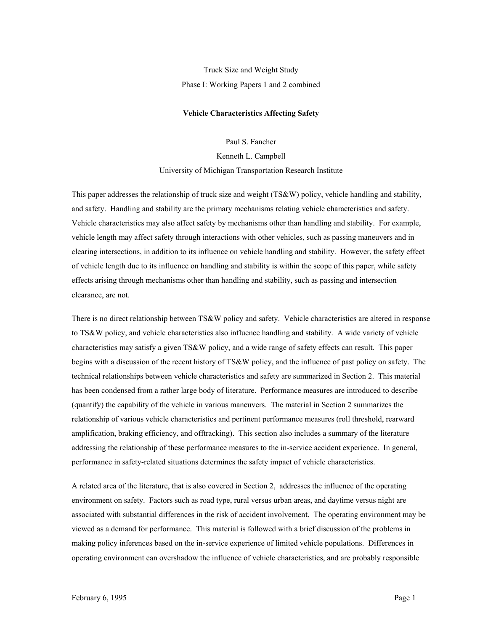# Truck Size and Weight Study Phase I: Working Papers 1 and 2 combined

#### **Vehicle Characteristics Affecting Safety**

Paul S. Fancher

Kenneth L. Campbell University of Michigan Transportation Research Institute

This paper addresses the relationship of truck size and weight (TS&W) policy, vehicle handling and stability, and safety. Handling and stability are the primary mechanisms relating vehicle characteristics and safety. Vehicle characteristics may also affect safety by mechanisms other than handling and stability. For example, vehicle length may affect safety through interactions with other vehicles, such as passing maneuvers and in clearing intersections, in addition to its influence on vehicle handling and stability. However, the safety effect of vehicle length due to its influence on handling and stability is within the scope of this paper, while safety effects arising through mechanisms other than handling and stability, such as passing and intersection clearance, are not.

There is no direct relationship between TS&W policy and safety. Vehicle characteristics are altered in response to TS&W policy, and vehicle characteristics also influence handling and stability. A wide variety of vehicle characteristics may satisfy a given TS&W policy, and a wide range of safety effects can result. This paper begins with a discussion of the recent history of TS&W policy, and the influence of past policy on safety. The technical relationships between vehicle characteristics and safety are summarized in Section 2. This material has been condensed from a rather large body of literature. Performance measures are introduced to describe (quantify) the capability of the vehicle in various maneuvers. The material in Section 2 summarizes the relationship of various vehicle characteristics and pertinent performance measures (roll threshold, rearward amplification, braking efficiency, and offtracking). This section also includes a summary of the literature addressing the relationship of these performance measures to the in-service accident experience. In general, performance in safety-related situations determines the safety impact of vehicle characteristics.

A related area of the literature, that is also covered in Section 2, addresses the influence of the operating environment on safety. Factors such as road type, rural versus urban areas, and daytime versus night are associated with substantial differences in the risk of accident involvement. The operating environment may be viewed as a demand for performance. This material is followed with a brief discussion of the problems in making policy inferences based on the in-service experience of limited vehicle populations. Differences in operating environment can overshadow the influence of vehicle characteristics, and are probably responsible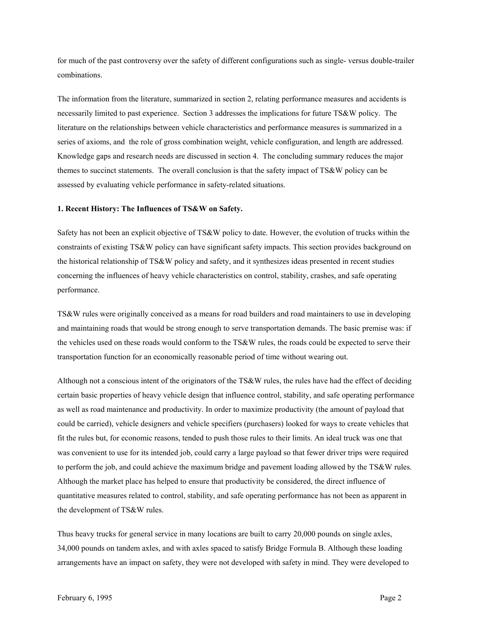for much of the past controversy over the safety of different configurations such as single- versus double-trailer combinations.

The information from the literature, summarized in section 2, relating performance measures and accidents is necessarily limited to past experience. Section 3 addresses the implications for future TS&W policy. The literature on the relationships between vehicle characteristics and performance measures is summarized in a series of axioms, and the role of gross combination weight, vehicle configuration, and length are addressed. Knowledge gaps and research needs are discussed in section 4. The concluding summary reduces the major themes to succinct statements. The overall conclusion is that the safety impact of TS&W policy can be assessed by evaluating vehicle performance in safety-related situations.

### **1. Recent History: The Influences of TS&W on Safety.**

Safety has not been an explicit objective of TS&W policy to date. However, the evolution of trucks within the constraints of existing TS&W policy can have significant safety impacts. This section provides background on the historical relationship of TS&W policy and safety, and it synthesizes ideas presented in recent studies concerning the influences of heavy vehicle characteristics on control, stability, crashes, and safe operating performance.

TS&W rules were originally conceived as a means for road builders and road maintainers to use in developing and maintaining roads that would be strong enough to serve transportation demands. The basic premise was: if the vehicles used on these roads would conform to the TS&W rules, the roads could be expected to serve their transportation function for an economically reasonable period of time without wearing out.

Although not a conscious intent of the originators of the TS&W rules, the rules have had the effect of deciding certain basic properties of heavy vehicle design that influence control, stability, and safe operating performance as well as road maintenance and productivity. In order to maximize productivity (the amount of payload that could be carried), vehicle designers and vehicle specifiers (purchasers) looked for ways to create vehicles that fit the rules but, for economic reasons, tended to push those rules to their limits. An ideal truck was one that was convenient to use for its intended job, could carry a large payload so that fewer driver trips were required to perform the job, and could achieve the maximum bridge and pavement loading allowed by the TS&W rules. Although the market place has helped to ensure that productivity be considered, the direct influence of quantitative measures related to control, stability, and safe operating performance has not been as apparent in the development of TS&W rules.

Thus heavy trucks for general service in many locations are built to carry 20,000 pounds on single axles, 34,000 pounds on tandem axles, and with axles spaced to satisfy Bridge Formula B. Although these loading arrangements have an impact on safety, they were not developed with safety in mind. They were developed to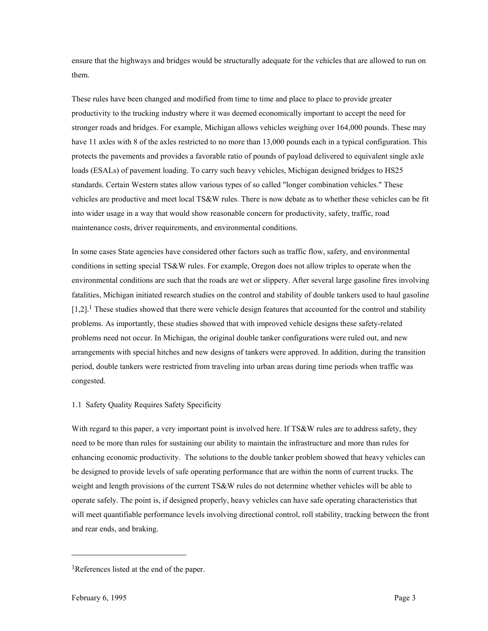ensure that the highways and bridges would be structurally adequate for the vehicles that are allowed to run on them.

These rules have been changed and modified from time to time and place to place to provide greater productivity to the trucking industry where it was deemed economically important to accept the need for stronger roads and bridges. For example, Michigan allows vehicles weighing over 164,000 pounds. These may have 11 axles with 8 of the axles restricted to no more than 13,000 pounds each in a typical configuration. This protects the pavements and provides a favorable ratio of pounds of payload delivered to equivalent single axle loads (ESALs) of pavement loading. To carry such heavy vehicles, Michigan designed bridges to HS25 standards. Certain Western states allow various types of so called "longer combination vehicles." These vehicles are productive and meet local TS&W rules. There is now debate as to whether these vehicles can be fit into wider usage in a way that would show reasonable concern for productivity, safety, traffic, road maintenance costs, driver requirements, and environmental conditions.

In some cases State agencies have considered other factors such as traffic flow, safety, and environmental conditions in setting special TS&W rules. For example, Oregon does not allow triples to operate when the environmental conditions are such that the roads are wet or slippery. After several large gasoline fires involving fatalities, Michigan initiated research studies on the control and stability of double tankers used to haul gasoline  $[1,2]$ .<sup>1</sup> These studies showed that there were vehicle design features that accounted for the control and stability problems. As importantly, these studies showed that with improved vehicle designs these safety-related problems need not occur. In Michigan, the original double tanker configurations were ruled out, and new arrangements with special hitches and new designs of tankers were approved. In addition, during the transition period, double tankers were restricted from traveling into urban areas during time periods when traffic was congested.

# 1.1 Safety Quality Requires Safety Specificity

With regard to this paper, a very important point is involved here. If TS&W rules are to address safety, they need to be more than rules for sustaining our ability to maintain the infrastructure and more than rules for enhancing economic productivity. The solutions to the double tanker problem showed that heavy vehicles can be designed to provide levels of safe operating performance that are within the norm of current trucks. The weight and length provisions of the current TS&W rules do not determine whether vehicles will be able to operate safely. The point is, if designed properly, heavy vehicles can have safe operating characteristics that will meet quantifiable performance levels involving directional control, roll stability, tracking between the front and rear ends, and braking.

-

<span id="page-2-0"></span><sup>1</sup>References listed at the end of the paper.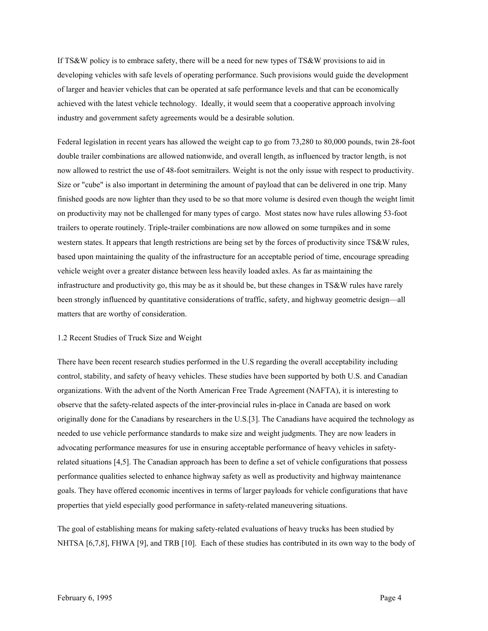If TS&W policy is to embrace safety, there will be a need for new types of TS&W provisions to aid in developing vehicles with safe levels of operating performance. Such provisions would guide the development of larger and heavier vehicles that can be operated at safe performance levels and that can be economically achieved with the latest vehicle technology. Ideally, it would seem that a cooperative approach involving industry and government safety agreements would be a desirable solution.

Federal legislation in recent years has allowed the weight cap to go from 73,280 to 80,000 pounds, twin 28-foot double trailer combinations are allowed nationwide, and overall length, as influenced by tractor length, is not now allowed to restrict the use of 48-foot semitrailers. Weight is not the only issue with respect to productivity. Size or "cube" is also important in determining the amount of payload that can be delivered in one trip. Many finished goods are now lighter than they used to be so that more volume is desired even though the weight limit on productivity may not be challenged for many types of cargo. Most states now have rules allowing 53-foot trailers to operate routinely. Triple-trailer combinations are now allowed on some turnpikes and in some western states. It appears that length restrictions are being set by the forces of productivity since TS&W rules, based upon maintaining the quality of the infrastructure for an acceptable period of time, encourage spreading vehicle weight over a greater distance between less heavily loaded axles. As far as maintaining the infrastructure and productivity go, this may be as it should be, but these changes in TS&W rules have rarely been strongly influenced by quantitative considerations of traffic, safety, and highway geometric design—all matters that are worthy of consideration.

#### 1.2 Recent Studies of Truck Size and Weight

There have been recent research studies performed in the U.S regarding the overall acceptability including control, stability, and safety of heavy vehicles. These studies have been supported by both U.S. and Canadian organizations. With the advent of the North American Free Trade Agreement (NAFTA), it is interesting to observe that the safety-related aspects of the inter-provincial rules in-place in Canada are based on work originally done for the Canadians by researchers in the U.S.[3]. The Canadians have acquired the technology as needed to use vehicle performance standards to make size and weight judgments. They are now leaders in advocating performance measures for use in ensuring acceptable performance of heavy vehicles in safetyrelated situations [4,5]. The Canadian approach has been to define a set of vehicle configurations that possess performance qualities selected to enhance highway safety as well as productivity and highway maintenance goals. They have offered economic incentives in terms of larger payloads for vehicle configurations that have properties that yield especially good performance in safety-related maneuvering situations.

The goal of establishing means for making safety-related evaluations of heavy trucks has been studied by NHTSA [6,7,8], FHWA [9], and TRB [10]. Each of these studies has contributed in its own way to the body of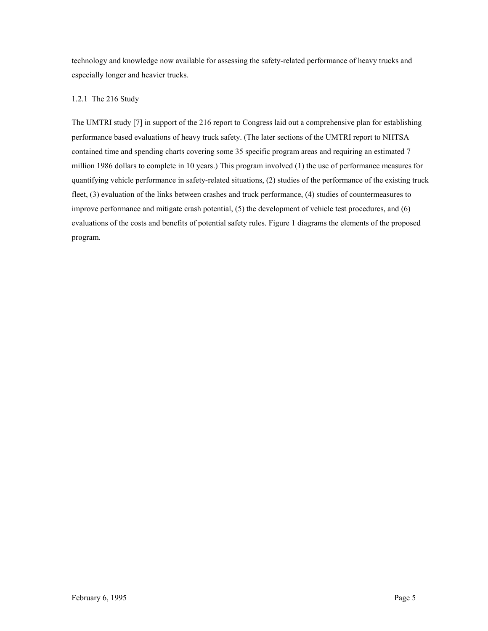technology and knowledge now available for assessing the safety-related performance of heavy trucks and especially longer and heavier trucks.

# 1.2.1 The 216 Study

The UMTRI study [7] in support of the 216 report to Congress laid out a comprehensive plan for establishing performance based evaluations of heavy truck safety. (The later sections of the UMTRI report to NHTSA contained time and spending charts covering some 35 specific program areas and requiring an estimated 7 million 1986 dollars to complete in 10 years.) This program involved (1) the use of performance measures for quantifying vehicle performance in safety-related situations, (2) studies of the performance of the existing truck fleet, (3) evaluation of the links between crashes and truck performance, (4) studies of countermeasures to improve performance and mitigate crash potential, (5) the development of vehicle test procedures, and (6) evaluations of the costs and benefits of potential safety rules. Figure 1 diagrams the elements of the proposed program.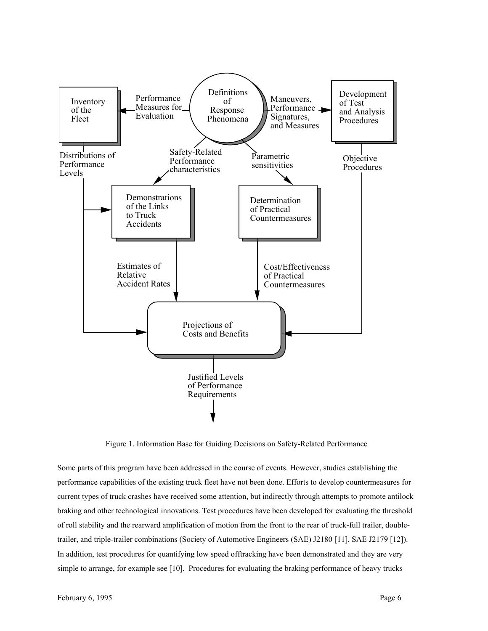

Figure 1. Information Base for Guiding Decisions on Safety-Related Performance

Some parts of this program have been addressed in the course of events. However, studies establishing the performance capabilities of the existing truck fleet have not been done. Efforts to develop countermeasures for current types of truck crashes have received some attention, but indirectly through attempts to promote antilock braking and other technological innovations. Test procedures have been developed for evaluating the threshold of roll stability and the rearward amplification of motion from the front to the rear of truck-full trailer, doubletrailer, and triple-trailer combinations (Society of Automotive Engineers (SAE) J2180 [11], SAE J2179 [12]). In addition, test procedures for quantifying low speed offtracking have been demonstrated and they are very simple to arrange, for example see [10]. Procedures for evaluating the braking performance of heavy trucks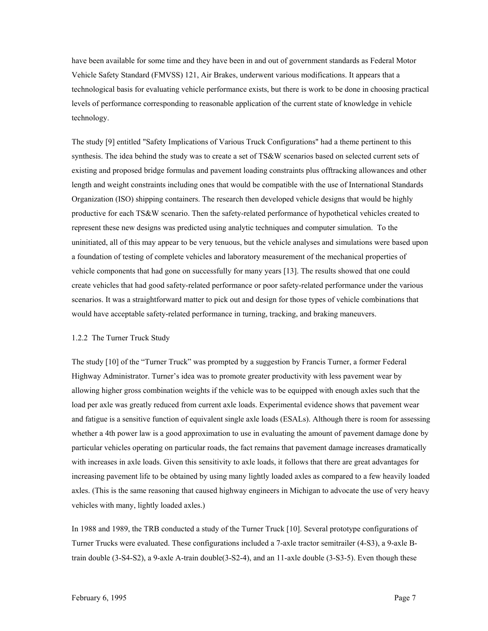have been available for some time and they have been in and out of government standards as Federal Motor Vehicle Safety Standard (FMVSS) 121, Air Brakes, underwent various modifications. It appears that a technological basis for evaluating vehicle performance exists, but there is work to be done in choosing practical levels of performance corresponding to reasonable application of the current state of knowledge in vehicle technology.

The study [9] entitled "Safety Implications of Various Truck Configurations" had a theme pertinent to this synthesis. The idea behind the study was to create a set of TS&W scenarios based on selected current sets of existing and proposed bridge formulas and pavement loading constraints plus offtracking allowances and other length and weight constraints including ones that would be compatible with the use of International Standards Organization (ISO) shipping containers. The research then developed vehicle designs that would be highly productive for each TS&W scenario. Then the safety-related performance of hypothetical vehicles created to represent these new designs was predicted using analytic techniques and computer simulation. To the uninitiated, all of this may appear to be very tenuous, but the vehicle analyses and simulations were based upon a foundation of testing of complete vehicles and laboratory measurement of the mechanical properties of vehicle components that had gone on successfully for many years [13]. The results showed that one could create vehicles that had good safety-related performance or poor safety-related performance under the various scenarios. It was a straightforward matter to pick out and design for those types of vehicle combinations that would have acceptable safety-related performance in turning, tracking, and braking maneuvers.

#### 1.2.2 The Turner Truck Study

The study [10] of the "Turner Truck" was prompted by a suggestion by Francis Turner, a former Federal Highway Administrator. Turner's idea was to promote greater productivity with less pavement wear by allowing higher gross combination weights if the vehicle was to be equipped with enough axles such that the load per axle was greatly reduced from current axle loads. Experimental evidence shows that pavement wear and fatigue is a sensitive function of equivalent single axle loads (ESALs). Although there is room for assessing whether a 4th power law is a good approximation to use in evaluating the amount of pavement damage done by particular vehicles operating on particular roads, the fact remains that pavement damage increases dramatically with increases in axle loads. Given this sensitivity to axle loads, it follows that there are great advantages for increasing pavement life to be obtained by using many lightly loaded axles as compared to a few heavily loaded axles. (This is the same reasoning that caused highway engineers in Michigan to advocate the use of very heavy vehicles with many, lightly loaded axles.)

In 1988 and 1989, the TRB conducted a study of the Turner Truck [10]. Several prototype configurations of Turner Trucks were evaluated. These configurations included a 7-axle tractor semitrailer (4-S3), a 9-axle Btrain double (3-S4-S2), a 9-axle A-train double(3-S2-4), and an 11-axle double (3-S3-5). Even though these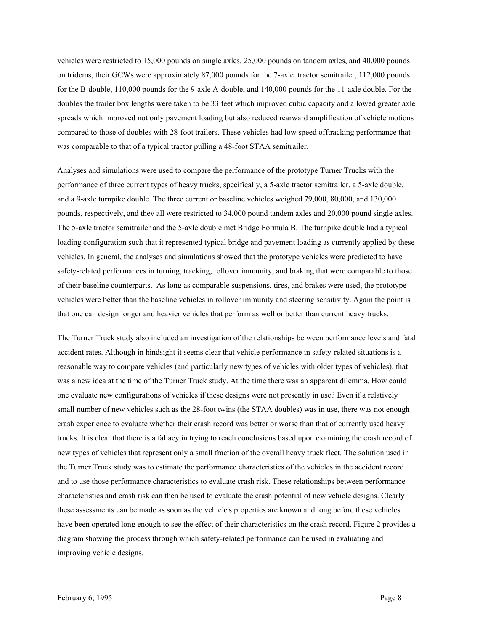vehicles were restricted to 15,000 pounds on single axles, 25,000 pounds on tandem axles, and 40,000 pounds on tridems, their GCWs were approximately 87,000 pounds for the 7-axle tractor semitrailer, 112,000 pounds for the B-double, 110,000 pounds for the 9-axle A-double, and 140,000 pounds for the 11-axle double. For the doubles the trailer box lengths were taken to be 33 feet which improved cubic capacity and allowed greater axle spreads which improved not only pavement loading but also reduced rearward amplification of vehicle motions compared to those of doubles with 28-foot trailers. These vehicles had low speed offtracking performance that was comparable to that of a typical tractor pulling a 48-foot STAA semitrailer.

Analyses and simulations were used to compare the performance of the prototype Turner Trucks with the performance of three current types of heavy trucks, specifically, a 5-axle tractor semitrailer, a 5-axle double, and a 9-axle turnpike double. The three current or baseline vehicles weighed 79,000, 80,000, and 130,000 pounds, respectively, and they all were restricted to 34,000 pound tandem axles and 20,000 pound single axles. The 5-axle tractor semitrailer and the 5-axle double met Bridge Formula B. The turnpike double had a typical loading configuration such that it represented typical bridge and pavement loading as currently applied by these vehicles. In general, the analyses and simulations showed that the prototype vehicles were predicted to have safety-related performances in turning, tracking, rollover immunity, and braking that were comparable to those of their baseline counterparts. As long as comparable suspensions, tires, and brakes were used, the prototype vehicles were better than the baseline vehicles in rollover immunity and steering sensitivity. Again the point is that one can design longer and heavier vehicles that perform as well or better than current heavy trucks.

The Turner Truck study also included an investigation of the relationships between performance levels and fatal accident rates. Although in hindsight it seems clear that vehicle performance in safety-related situations is a reasonable way to compare vehicles (and particularly new types of vehicles with older types of vehicles), that was a new idea at the time of the Turner Truck study. At the time there was an apparent dilemma. How could one evaluate new configurations of vehicles if these designs were not presently in use? Even if a relatively small number of new vehicles such as the 28-foot twins (the STAA doubles) was in use, there was not enough crash experience to evaluate whether their crash record was better or worse than that of currently used heavy trucks. It is clear that there is a fallacy in trying to reach conclusions based upon examining the crash record of new types of vehicles that represent only a small fraction of the overall heavy truck fleet. The solution used in the Turner Truck study was to estimate the performance characteristics of the vehicles in the accident record and to use those performance characteristics to evaluate crash risk. These relationships between performance characteristics and crash risk can then be used to evaluate the crash potential of new vehicle designs. Clearly these assessments can be made as soon as the vehicle's properties are known and long before these vehicles have been operated long enough to see the effect of their characteristics on the crash record. Figure 2 provides a diagram showing the process through which safety-related performance can be used in evaluating and improving vehicle designs.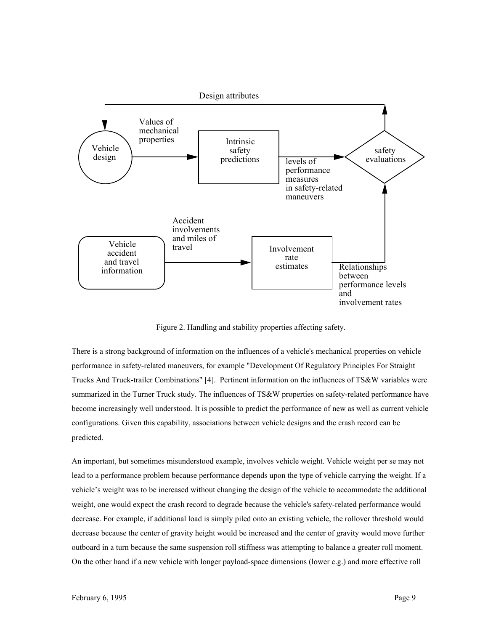

Figure 2. Handling and stability properties affecting safety.

There is a strong background of information on the influences of a vehicle's mechanical properties on vehicle performance in safety-related maneuvers, for example "Development Of Regulatory Principles For Straight Trucks And Truck-trailer Combinations" [4]. Pertinent information on the influences of TS&W variables were summarized in the Turner Truck study. The influences of TS&W properties on safety-related performance have become increasingly well understood. It is possible to predict the performance of new as well as current vehicle configurations. Given this capability, associations between vehicle designs and the crash record can be predicted.

An important, but sometimes misunderstood example, involves vehicle weight. Vehicle weight per se may not lead to a performance problem because performance depends upon the type of vehicle carrying the weight. If a vehicle's weight was to be increased without changing the design of the vehicle to accommodate the additional weight, one would expect the crash record to degrade because the vehicle's safety-related performance would decrease. For example, if additional load is simply piled onto an existing vehicle, the rollover threshold would decrease because the center of gravity height would be increased and the center of gravity would move further outboard in a turn because the same suspension roll stiffness was attempting to balance a greater roll moment. On the other hand if a new vehicle with longer payload-space dimensions (lower c.g.) and more effective roll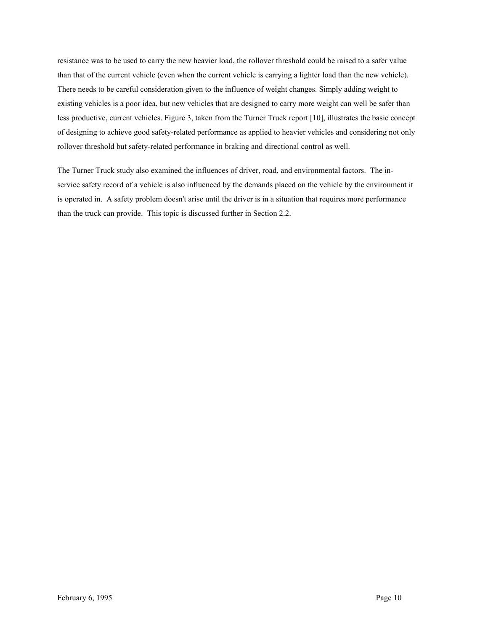resistance was to be used to carry the new heavier load, the rollover threshold could be raised to a safer value than that of the current vehicle (even when the current vehicle is carrying a lighter load than the new vehicle). There needs to be careful consideration given to the influence of weight changes. Simply adding weight to existing vehicles is a poor idea, but new vehicles that are designed to carry more weight can well be safer than less productive, current vehicles. Figure 3, taken from the Turner Truck report [10], illustrates the basic concept of designing to achieve good safety-related performance as applied to heavier vehicles and considering not only rollover threshold but safety-related performance in braking and directional control as well.

The Turner Truck study also examined the influences of driver, road, and environmental factors. The inservice safety record of a vehicle is also influenced by the demands placed on the vehicle by the environment it is operated in. A safety problem doesn't arise until the driver is in a situation that requires more performance than the truck can provide. This topic is discussed further in Section 2.2.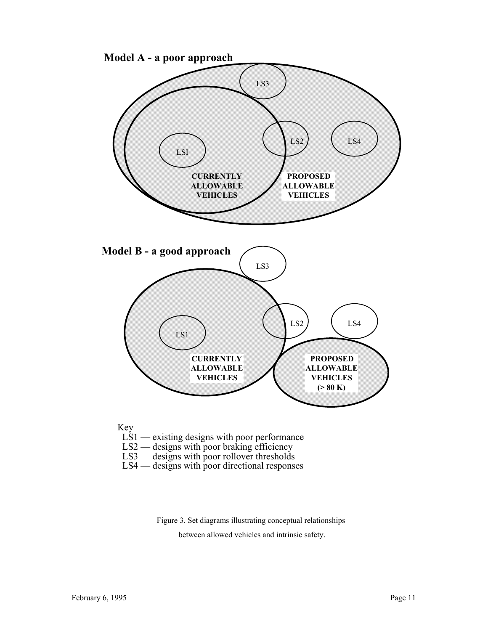

Figure 3. Set diagrams illustrating conceptual relationships between allowed vehicles and intrinsic safety.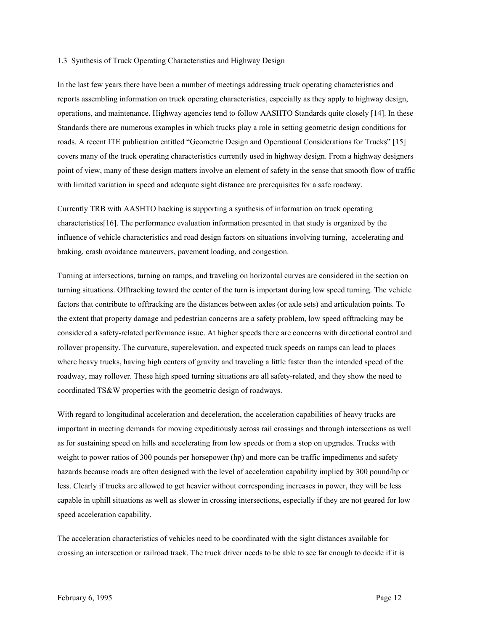#### 1.3 Synthesis of Truck Operating Characteristics and Highway Design

In the last few years there have been a number of meetings addressing truck operating characteristics and reports assembling information on truck operating characteristics, especially as they apply to highway design, operations, and maintenance. Highway agencies tend to follow AASHTO Standards quite closely [14]. In these Standards there are numerous examples in which trucks play a role in setting geometric design conditions for roads. A recent ITE publication entitled "Geometric Design and Operational Considerations for Trucks" [15] covers many of the truck operating characteristics currently used in highway design. From a highway designers point of view, many of these design matters involve an element of safety in the sense that smooth flow of traffic with limited variation in speed and adequate sight distance are prerequisites for a safe roadway.

Currently TRB with AASHTO backing is supporting a synthesis of information on truck operating characteristics[16]. The performance evaluation information presented in that study is organized by the influence of vehicle characteristics and road design factors on situations involving turning, accelerating and braking, crash avoidance maneuvers, pavement loading, and congestion.

Turning at intersections, turning on ramps, and traveling on horizontal curves are considered in the section on turning situations. Offtracking toward the center of the turn is important during low speed turning. The vehicle factors that contribute to offtracking are the distances between axles (or axle sets) and articulation points. To the extent that property damage and pedestrian concerns are a safety problem, low speed offtracking may be considered a safety-related performance issue. At higher speeds there are concerns with directional control and rollover propensity. The curvature, superelevation, and expected truck speeds on ramps can lead to places where heavy trucks, having high centers of gravity and traveling a little faster than the intended speed of the roadway, may rollover. These high speed turning situations are all safety-related, and they show the need to coordinated TS&W properties with the geometric design of roadways.

With regard to longitudinal acceleration and deceleration, the acceleration capabilities of heavy trucks are important in meeting demands for moving expeditiously across rail crossings and through intersections as well as for sustaining speed on hills and accelerating from low speeds or from a stop on upgrades. Trucks with weight to power ratios of 300 pounds per horsepower (hp) and more can be traffic impediments and safety hazards because roads are often designed with the level of acceleration capability implied by 300 pound/hp or less. Clearly if trucks are allowed to get heavier without corresponding increases in power, they will be less capable in uphill situations as well as slower in crossing intersections, especially if they are not geared for low speed acceleration capability.

The acceleration characteristics of vehicles need to be coordinated with the sight distances available for crossing an intersection or railroad track. The truck driver needs to be able to see far enough to decide if it is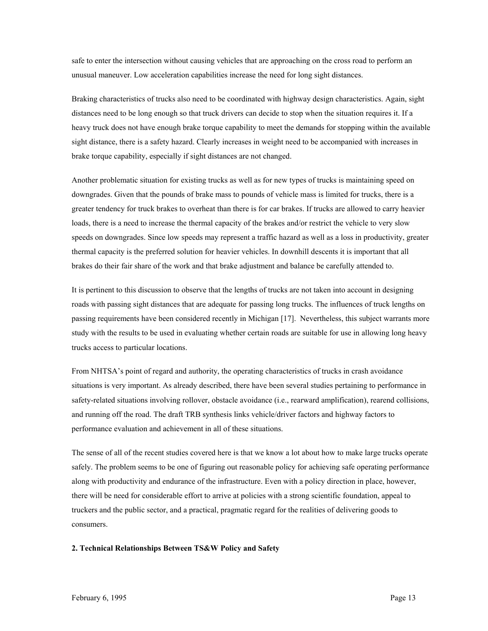safe to enter the intersection without causing vehicles that are approaching on the cross road to perform an unusual maneuver. Low acceleration capabilities increase the need for long sight distances.

Braking characteristics of trucks also need to be coordinated with highway design characteristics. Again, sight distances need to be long enough so that truck drivers can decide to stop when the situation requires it. If a heavy truck does not have enough brake torque capability to meet the demands for stopping within the available sight distance, there is a safety hazard. Clearly increases in weight need to be accompanied with increases in brake torque capability, especially if sight distances are not changed.

Another problematic situation for existing trucks as well as for new types of trucks is maintaining speed on downgrades. Given that the pounds of brake mass to pounds of vehicle mass is limited for trucks, there is a greater tendency for truck brakes to overheat than there is for car brakes. If trucks are allowed to carry heavier loads, there is a need to increase the thermal capacity of the brakes and/or restrict the vehicle to very slow speeds on downgrades. Since low speeds may represent a traffic hazard as well as a loss in productivity, greater thermal capacity is the preferred solution for heavier vehicles. In downhill descents it is important that all brakes do their fair share of the work and that brake adjustment and balance be carefully attended to.

It is pertinent to this discussion to observe that the lengths of trucks are not taken into account in designing roads with passing sight distances that are adequate for passing long trucks. The influences of truck lengths on passing requirements have been considered recently in Michigan [17]. Nevertheless, this subject warrants more study with the results to be used in evaluating whether certain roads are suitable for use in allowing long heavy trucks access to particular locations.

From NHTSA's point of regard and authority, the operating characteristics of trucks in crash avoidance situations is very important. As already described, there have been several studies pertaining to performance in safety-related situations involving rollover, obstacle avoidance (i.e., rearward amplification), rearend collisions, and running off the road. The draft TRB synthesis links vehicle/driver factors and highway factors to performance evaluation and achievement in all of these situations.

The sense of all of the recent studies covered here is that we know a lot about how to make large trucks operate safely. The problem seems to be one of figuring out reasonable policy for achieving safe operating performance along with productivity and endurance of the infrastructure. Even with a policy direction in place, however, there will be need for considerable effort to arrive at policies with a strong scientific foundation, appeal to truckers and the public sector, and a practical, pragmatic regard for the realities of delivering goods to consumers.

# **2. Technical Relationships Between TS&W Policy and Safety**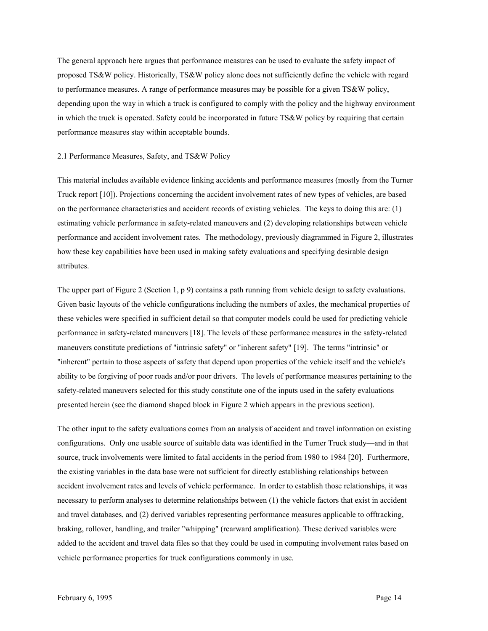The general approach here argues that performance measures can be used to evaluate the safety impact of proposed TS&W policy. Historically, TS&W policy alone does not sufficiently define the vehicle with regard to performance measures. A range of performance measures may be possible for a given TS&W policy, depending upon the way in which a truck is configured to comply with the policy and the highway environment in which the truck is operated. Safety could be incorporated in future TS&W policy by requiring that certain performance measures stay within acceptable bounds.

#### 2.1 Performance Measures, Safety, and TS&W Policy

This material includes available evidence linking accidents and performance measures (mostly from the Turner Truck report [10]). Projections concerning the accident involvement rates of new types of vehicles, are based on the performance characteristics and accident records of existing vehicles. The keys to doing this are: (1) estimating vehicle performance in safety-related maneuvers and (2) developing relationships between vehicle performance and accident involvement rates. The methodology, previously diagrammed in Figure 2, illustrates how these key capabilities have been used in making safety evaluations and specifying desirable design attributes.

The upper part of Figure 2 (Section 1, p 9) contains a path running from vehicle design to safety evaluations. Given basic layouts of the vehicle configurations including the numbers of axles, the mechanical properties of these vehicles were specified in sufficient detail so that computer models could be used for predicting vehicle performance in safety-related maneuvers [18]. The levels of these performance measures in the safety-related maneuvers constitute predictions of "intrinsic safety" or "inherent safety" [19]. The terms "intrinsic" or "inherent" pertain to those aspects of safety that depend upon properties of the vehicle itself and the vehicle's ability to be forgiving of poor roads and/or poor drivers. The levels of performance measures pertaining to the safety-related maneuvers selected for this study constitute one of the inputs used in the safety evaluations presented herein (see the diamond shaped block in Figure 2 which appears in the previous section).

The other input to the safety evaluations comes from an analysis of accident and travel information on existing configurations. Only one usable source of suitable data was identified in the Turner Truck study—and in that source, truck involvements were limited to fatal accidents in the period from 1980 to 1984 [20]. Furthermore, the existing variables in the data base were not sufficient for directly establishing relationships between accident involvement rates and levels of vehicle performance. In order to establish those relationships, it was necessary to perform analyses to determine relationships between (1) the vehicle factors that exist in accident and travel databases, and (2) derived variables representing performance measures applicable to offtracking, braking, rollover, handling, and trailer "whipping" (rearward amplification). These derived variables were added to the accident and travel data files so that they could be used in computing involvement rates based on vehicle performance properties for truck configurations commonly in use.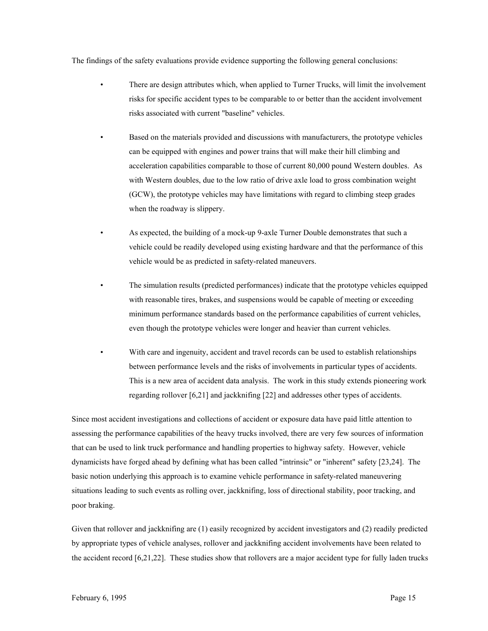The findings of the safety evaluations provide evidence supporting the following general conclusions:

- There are design attributes which, when applied to Turner Trucks, will limit the involvement risks for specific accident types to be comparable to or better than the accident involvement risks associated with current "baseline" vehicles.
- Based on the materials provided and discussions with manufacturers, the prototype vehicles can be equipped with engines and power trains that will make their hill climbing and acceleration capabilities comparable to those of current 80,000 pound Western doubles. As with Western doubles, due to the low ratio of drive axle load to gross combination weight (GCW), the prototype vehicles may have limitations with regard to climbing steep grades when the roadway is slippery.
- As expected, the building of a mock-up 9-axle Turner Double demonstrates that such a vehicle could be readily developed using existing hardware and that the performance of this vehicle would be as predicted in safety-related maneuvers.
- The simulation results (predicted performances) indicate that the prototype vehicles equipped with reasonable tires, brakes, and suspensions would be capable of meeting or exceeding minimum performance standards based on the performance capabilities of current vehicles, even though the prototype vehicles were longer and heavier than current vehicles.
	- With care and ingenuity, accident and travel records can be used to establish relationships between performance levels and the risks of involvements in particular types of accidents. This is a new area of accident data analysis. The work in this study extends pioneering work regarding rollover [6,21] and jackknifing [22] and addresses other types of accidents.

Since most accident investigations and collections of accident or exposure data have paid little attention to assessing the performance capabilities of the heavy trucks involved, there are very few sources of information that can be used to link truck performance and handling properties to highway safety. However, vehicle dynamicists have forged ahead by defining what has been called "intrinsic" or "inherent" safety [23,24]. The basic notion underlying this approach is to examine vehicle performance in safety-related maneuvering situations leading to such events as rolling over, jackknifing, loss of directional stability, poor tracking, and poor braking.

Given that rollover and jackknifing are (1) easily recognized by accident investigators and (2) readily predicted by appropriate types of vehicle analyses, rollover and jackknifing accident involvements have been related to the accident record [6,21,22]. These studies show that rollovers are a major accident type for fully laden trucks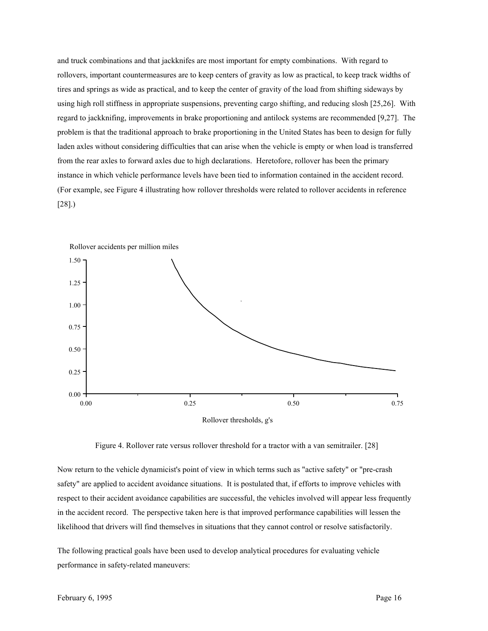and truck combinations and that jackknifes are most important for empty combinations. With regard to rollovers, important countermeasures are to keep centers of gravity as low as practical, to keep track widths of tires and springs as wide as practical, and to keep the center of gravity of the load from shifting sideways by using high roll stiffness in appropriate suspensions, preventing cargo shifting, and reducing slosh [25,26]. With regard to jackknifing, improvements in brake proportioning and antilock systems are recommended [9,27]. The problem is that the traditional approach to brake proportioning in the United States has been to design for fully laden axles without considering difficulties that can arise when the vehicle is empty or when load is transferred from the rear axles to forward axles due to high declarations. Heretofore, rollover has been the primary instance in which vehicle performance levels have been tied to information contained in the accident record. (For example, see Figure 4 illustrating how rollover thresholds were related to rollover accidents in reference [28].)



Figure 4. Rollover rate versus rollover threshold for a tractor with a van semitrailer. [28]

Now return to the vehicle dynamicist's point of view in which terms such as "active safety" or "pre-crash safety" are applied to accident avoidance situations. It is postulated that, if efforts to improve vehicles with respect to their accident avoidance capabilities are successful, the vehicles involved will appear less frequently in the accident record. The perspective taken here is that improved performance capabilities will lessen the likelihood that drivers will find themselves in situations that they cannot control or resolve satisfactorily.

The following practical goals have been used to develop analytical procedures for evaluating vehicle performance in safety-related maneuvers: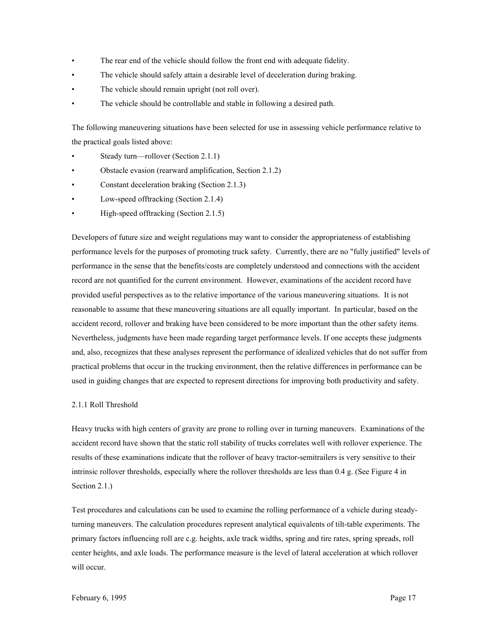- The rear end of the vehicle should follow the front end with adequate fidelity.
- The vehicle should safely attain a desirable level of deceleration during braking.
- The vehicle should remain upright (not roll over).
- The vehicle should be controllable and stable in following a desired path.

The following maneuvering situations have been selected for use in assessing vehicle performance relative to the practical goals listed above:

- Steady turn—rollover (Section 2.1.1)
- Obstacle evasion (rearward amplification, Section 2.1.2)
- Constant deceleration braking (Section 2.1.3)
- Low-speed offtracking (Section 2.1.4)
- High-speed offtracking (Section 2.1.5)

Developers of future size and weight regulations may want to consider the appropriateness of establishing performance levels for the purposes of promoting truck safety. Currently, there are no "fully justified" levels of performance in the sense that the benefits/costs are completely understood and connections with the accident record are not quantified for the current environment. However, examinations of the accident record have provided useful perspectives as to the relative importance of the various maneuvering situations. It is not reasonable to assume that these maneuvering situations are all equally important. In particular, based on the accident record, rollover and braking have been considered to be more important than the other safety items. Nevertheless, judgments have been made regarding target performance levels. If one accepts these judgments and, also, recognizes that these analyses represent the performance of idealized vehicles that do not suffer from practical problems that occur in the trucking environment, then the relative differences in performance can be used in guiding changes that are expected to represent directions for improving both productivity and safety.

### 2.1.1 Roll Threshold

Heavy trucks with high centers of gravity are prone to rolling over in turning maneuvers. Examinations of the accident record have shown that the static roll stability of trucks correlates well with rollover experience. The results of these examinations indicate that the rollover of heavy tractor-semitrailers is very sensitive to their intrinsic rollover thresholds, especially where the rollover thresholds are less than 0.4 g. (See Figure 4 in Section 2.1.)

Test procedures and calculations can be used to examine the rolling performance of a vehicle during steadyturning maneuvers. The calculation procedures represent analytical equivalents of tilt-table experiments. The primary factors influencing roll are c.g. heights, axle track widths, spring and tire rates, spring spreads, roll center heights, and axle loads. The performance measure is the level of lateral acceleration at which rollover will occur.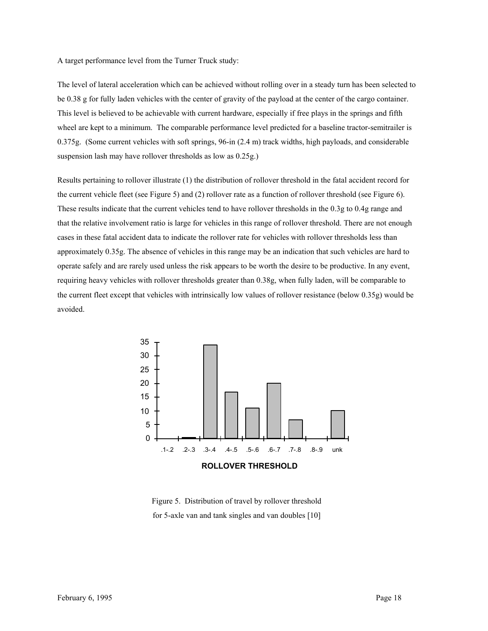A target performance level from the Turner Truck study:

The level of lateral acceleration which can be achieved without rolling over in a steady turn has been selected to be 0.38 g for fully laden vehicles with the center of gravity of the payload at the center of the cargo container. This level is believed to be achievable with current hardware, especially if free plays in the springs and fifth wheel are kept to a minimum. The comparable performance level predicted for a baseline tractor-semitrailer is 0.375g. (Some current vehicles with soft springs, 96-in (2.4 m) track widths, high payloads, and considerable suspension lash may have rollover thresholds as low as 0.25g.)

Results pertaining to rollover illustrate (1) the distribution of rollover threshold in the fatal accident record for the current vehicle fleet (see Figure 5) and (2) rollover rate as a function of rollover threshold (see Figure 6). These results indicate that the current vehicles tend to have rollover thresholds in the 0.3g to 0.4g range and that the relative involvement ratio is large for vehicles in this range of rollover threshold. There are not enough cases in these fatal accident data to indicate the rollover rate for vehicles with rollover thresholds less than approximately 0.35g. The absence of vehicles in this range may be an indication that such vehicles are hard to operate safely and are rarely used unless the risk appears to be worth the desire to be productive. In any event, requiring heavy vehicles with rollover thresholds greater than 0.38g, when fully laden, will be comparable to the current fleet except that vehicles with intrinsically low values of rollover resistance (below 0.35g) would be avoided.



Figure 5. Distribution of travel by rollover threshold for 5-axle van and tank singles and van doubles [10]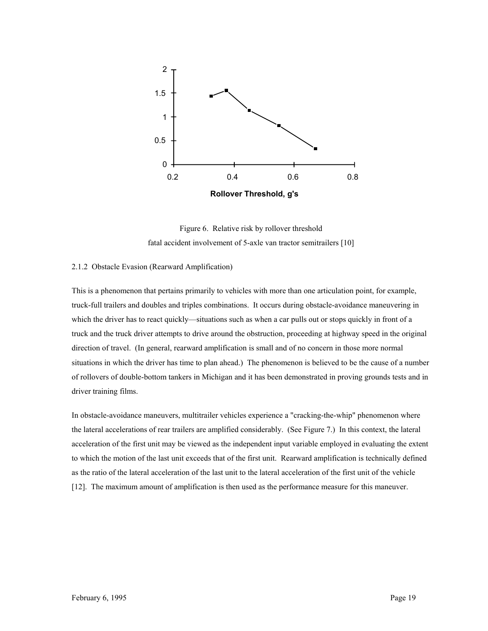

Figure 6. Relative risk by rollover threshold fatal accident involvement of 5-axle van tractor semitrailers [10]

#### 2.1.2 Obstacle Evasion (Rearward Amplification)

This is a phenomenon that pertains primarily to vehicles with more than one articulation point, for example, truck-full trailers and doubles and triples combinations. It occurs during obstacle-avoidance maneuvering in which the driver has to react quickly—situations such as when a car pulls out or stops quickly in front of a truck and the truck driver attempts to drive around the obstruction, proceeding at highway speed in the original direction of travel. (In general, rearward amplification is small and of no concern in those more normal situations in which the driver has time to plan ahead.) The phenomenon is believed to be the cause of a number of rollovers of double-bottom tankers in Michigan and it has been demonstrated in proving grounds tests and in driver training films.

In obstacle-avoidance maneuvers, multitrailer vehicles experience a "cracking-the-whip" phenomenon where the lateral accelerations of rear trailers are amplified considerably. (See Figure 7.) In this context, the lateral acceleration of the first unit may be viewed as the independent input variable employed in evaluating the extent to which the motion of the last unit exceeds that of the first unit. Rearward amplification is technically defined as the ratio of the lateral acceleration of the last unit to the lateral acceleration of the first unit of the vehicle [12]. The maximum amount of amplification is then used as the performance measure for this maneuver.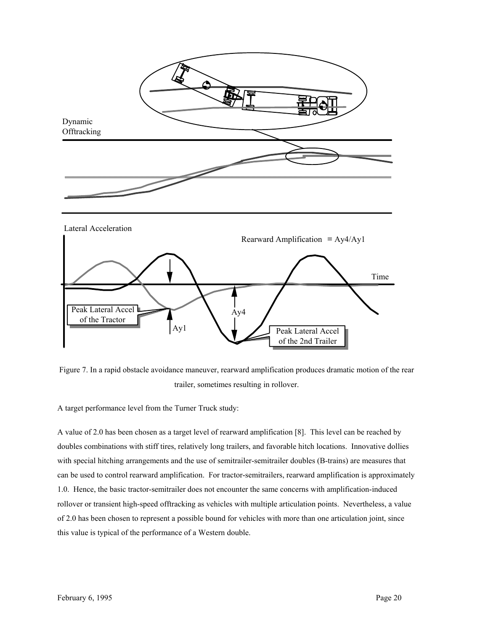

Figure 7. In a rapid obstacle avoidance maneuver, rearward amplification produces dramatic motion of the rear trailer, sometimes resulting in rollover.

A target performance level from the Turner Truck study:

A value of 2.0 has been chosen as a target level of rearward amplification [8]. This level can be reached by doubles combinations with stiff tires, relatively long trailers, and favorable hitch locations. Innovative dollies with special hitching arrangements and the use of semitrailer-semitrailer doubles (B-trains) are measures that can be used to control rearward amplification. For tractor-semitrailers, rearward amplification is approximately 1.0. Hence, the basic tractor-semitrailer does not encounter the same concerns with amplification-induced rollover or transient high-speed offtracking as vehicles with multiple articulation points. Nevertheless, a value of 2.0 has been chosen to represent a possible bound for vehicles with more than one articulation joint, since this value is typical of the performance of a Western double.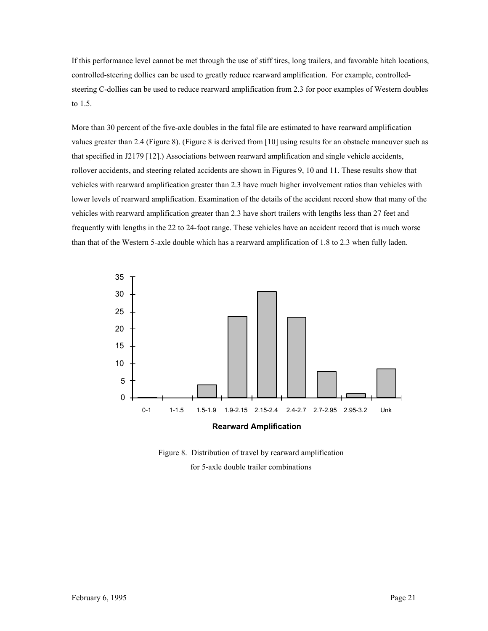If this performance level cannot be met through the use of stiff tires, long trailers, and favorable hitch locations, controlled-steering dollies can be used to greatly reduce rearward amplification. For example, controlledsteering C-dollies can be used to reduce rearward amplification from 2.3 for poor examples of Western doubles to 1.5.

More than 30 percent of the five-axle doubles in the fatal file are estimated to have rearward amplification values greater than 2.4 (Figure 8). (Figure 8 is derived from [10] using results for an obstacle maneuver such as that specified in J2179 [12].) Associations between rearward amplification and single vehicle accidents, rollover accidents, and steering related accidents are shown in Figures 9, 10 and 11. These results show that vehicles with rearward amplification greater than 2.3 have much higher involvement ratios than vehicles with lower levels of rearward amplification. Examination of the details of the accident record show that many of the vehicles with rearward amplification greater than 2.3 have short trailers with lengths less than 27 feet and frequently with lengths in the 22 to 24-foot range. These vehicles have an accident record that is much worse than that of the Western 5-axle double which has a rearward amplification of 1.8 to 2.3 when fully laden.



Figure 8. Distribution of travel by rearward amplification for 5-axle double trailer combinations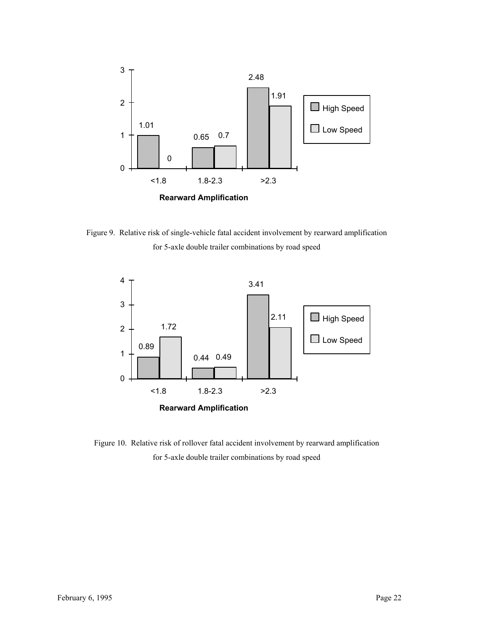

Figure 9. Relative risk of single-vehicle fatal accident involvement by rearward amplification for 5-axle double trailer combinations by road speed



Figure 10. Relative risk of rollover fatal accident involvement by rearward amplification for 5-axle double trailer combinations by road speed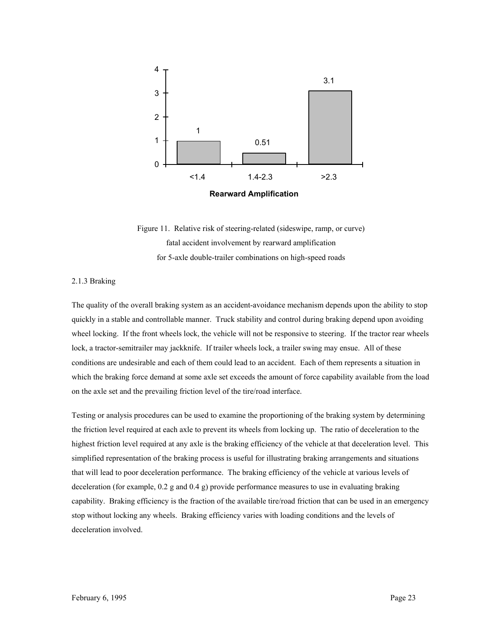

Figure 11. Relative risk of steering-related (sideswipe, ramp, or curve) fatal accident involvement by rearward amplification for 5-axle double-trailer combinations on high-speed roads

### 2.1.3 Braking

The quality of the overall braking system as an accident-avoidance mechanism depends upon the ability to stop quickly in a stable and controllable manner. Truck stability and control during braking depend upon avoiding wheel locking. If the front wheels lock, the vehicle will not be responsive to steering. If the tractor rear wheels lock, a tractor-semitrailer may jackknife. If trailer wheels lock, a trailer swing may ensue. All of these conditions are undesirable and each of them could lead to an accident. Each of them represents a situation in which the braking force demand at some axle set exceeds the amount of force capability available from the load on the axle set and the prevailing friction level of the tire/road interface.

Testing or analysis procedures can be used to examine the proportioning of the braking system by determining the friction level required at each axle to prevent its wheels from locking up. The ratio of deceleration to the highest friction level required at any axle is the braking efficiency of the vehicle at that deceleration level. This simplified representation of the braking process is useful for illustrating braking arrangements and situations that will lead to poor deceleration performance. The braking efficiency of the vehicle at various levels of deceleration (for example, 0.2 g and 0.4 g) provide performance measures to use in evaluating braking capability. Braking efficiency is the fraction of the available tire/road friction that can be used in an emergency stop without locking any wheels. Braking efficiency varies with loading conditions and the levels of deceleration involved.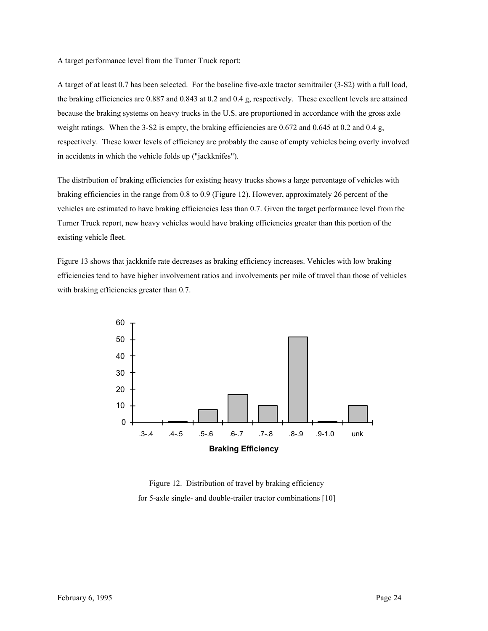A target performance level from the Turner Truck report:

A target of at least 0.7 has been selected. For the baseline five-axle tractor semitrailer (3-S2) with a full load, the braking efficiencies are 0.887 and 0.843 at 0.2 and 0.4 g, respectively. These excellent levels are attained because the braking systems on heavy trucks in the U.S. are proportioned in accordance with the gross axle weight ratings. When the 3-S2 is empty, the braking efficiencies are 0.672 and 0.645 at 0.2 and 0.4 g, respectively. These lower levels of efficiency are probably the cause of empty vehicles being overly involved in accidents in which the vehicle folds up ("jackknifes").

The distribution of braking efficiencies for existing heavy trucks shows a large percentage of vehicles with braking efficiencies in the range from 0.8 to 0.9 (Figure 12). However, approximately 26 percent of the vehicles are estimated to have braking efficiencies less than 0.7. Given the target performance level from the Turner Truck report, new heavy vehicles would have braking efficiencies greater than this portion of the existing vehicle fleet.

Figure 13 shows that jackknife rate decreases as braking efficiency increases. Vehicles with low braking efficiencies tend to have higher involvement ratios and involvements per mile of travel than those of vehicles with braking efficiencies greater than 0.7.



Figure 12. Distribution of travel by braking efficiency for 5-axle single- and double-trailer tractor combinations [10]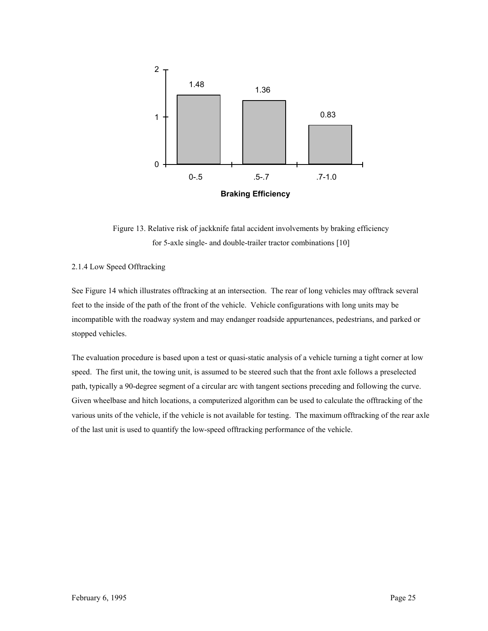

Figure 13. Relative risk of jackknife fatal accident involvements by braking efficiency for 5-axle single- and double-trailer tractor combinations [10]

## 2.1.4 Low Speed Offtracking

See Figure 14 which illustrates offtracking at an intersection. The rear of long vehicles may offtrack several feet to the inside of the path of the front of the vehicle. Vehicle configurations with long units may be incompatible with the roadway system and may endanger roadside appurtenances, pedestrians, and parked or stopped vehicles.

The evaluation procedure is based upon a test or quasi-static analysis of a vehicle turning a tight corner at low speed. The first unit, the towing unit, is assumed to be steered such that the front axle follows a preselected path, typically a 90-degree segment of a circular arc with tangent sections preceding and following the curve. Given wheelbase and hitch locations, a computerized algorithm can be used to calculate the offtracking of the various units of the vehicle, if the vehicle is not available for testing. The maximum offtracking of the rear axle of the last unit is used to quantify the low-speed offtracking performance of the vehicle.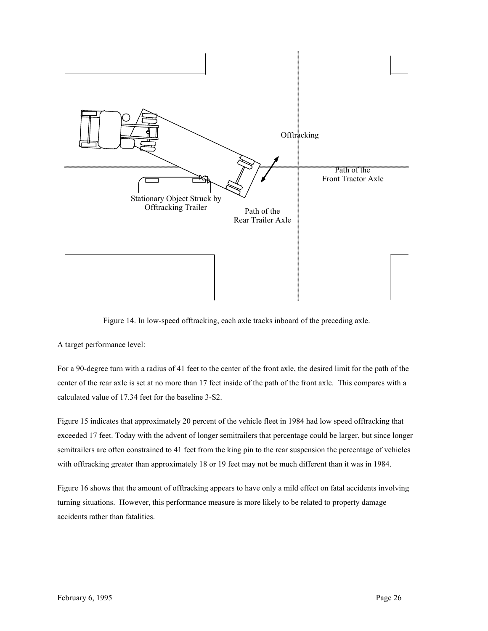

Figure 14. In low-speed offtracking, each axle tracks inboard of the preceding axle.

A target performance level:

For a 90-degree turn with a radius of 41 feet to the center of the front axle, the desired limit for the path of the center of the rear axle is set at no more than 17 feet inside of the path of the front axle. This compares with a calculated value of 17.34 feet for the baseline 3-S2.

Figure 15 indicates that approximately 20 percent of the vehicle fleet in 1984 had low speed offtracking that exceeded 17 feet. Today with the advent of longer semitrailers that percentage could be larger, but since longer semitrailers are often constrained to 41 feet from the king pin to the rear suspension the percentage of vehicles with offtracking greater than approximately 18 or 19 feet may not be much different than it was in 1984.

Figure 16 shows that the amount of offtracking appears to have only a mild effect on fatal accidents involving turning situations. However, this performance measure is more likely to be related to property damage accidents rather than fatalities.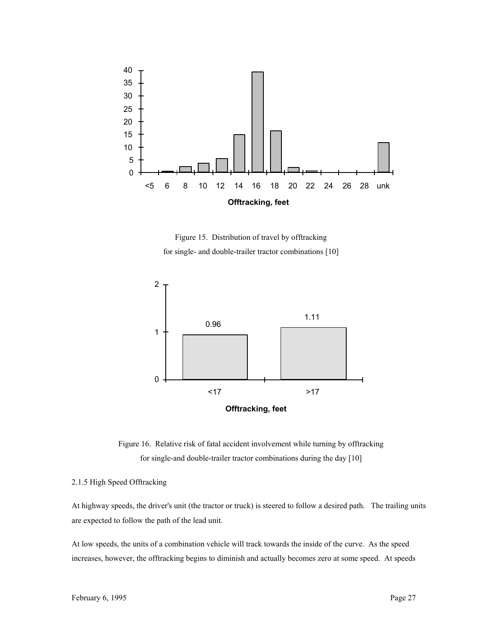

Figure 15. Distribution of travel by offtracking for single- and double-trailer tractor combinations [10]



Figure 16. Relative risk of fatal accident involvement while turning by offtracking for single-and double-trailer tractor combinations during the day [10]

### 2.1.5 High Speed Offtracking

At highway speeds, the driver's unit (the tractor or truck) is steered to follow a desired path. The trailing units are expected to follow the path of the lead unit.

At low speeds, the units of a combination vehicle will track towards the inside of the curve. As the speed increases, however, the offtracking begins to diminish and actually becomes zero at some speed. At speeds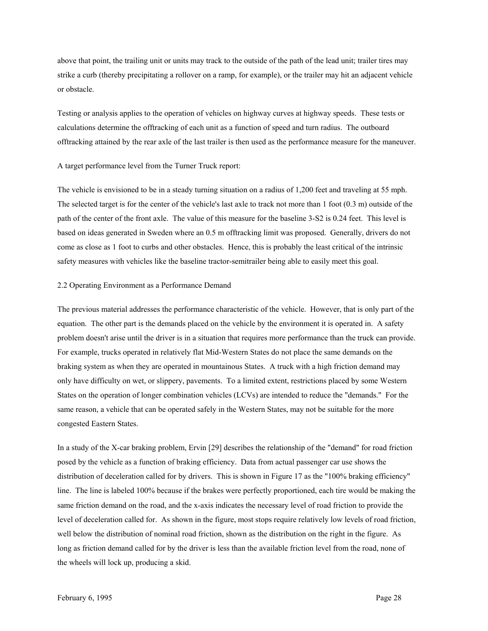above that point, the trailing unit or units may track to the outside of the path of the lead unit; trailer tires may strike a curb (thereby precipitating a rollover on a ramp, for example), or the trailer may hit an adjacent vehicle or obstacle.

Testing or analysis applies to the operation of vehicles on highway curves at highway speeds. These tests or calculations determine the offtracking of each unit as a function of speed and turn radius. The outboard offtracking attained by the rear axle of the last trailer is then used as the performance measure for the maneuver.

A target performance level from the Turner Truck report:

The vehicle is envisioned to be in a steady turning situation on a radius of 1,200 feet and traveling at 55 mph. The selected target is for the center of the vehicle's last axle to track not more than 1 foot (0.3 m) outside of the path of the center of the front axle. The value of this measure for the baseline 3-S2 is 0.24 feet. This level is based on ideas generated in Sweden where an 0.5 m offtracking limit was proposed. Generally, drivers do not come as close as 1 foot to curbs and other obstacles. Hence, this is probably the least critical of the intrinsic safety measures with vehicles like the baseline tractor-semitrailer being able to easily meet this goal.

#### 2.2 Operating Environment as a Performance Demand

The previous material addresses the performance characteristic of the vehicle. However, that is only part of the equation. The other part is the demands placed on the vehicle by the environment it is operated in. A safety problem doesn't arise until the driver is in a situation that requires more performance than the truck can provide. For example, trucks operated in relatively flat Mid-Western States do not place the same demands on the braking system as when they are operated in mountainous States. A truck with a high friction demand may only have difficulty on wet, or slippery, pavements. To a limited extent, restrictions placed by some Western States on the operation of longer combination vehicles (LCVs) are intended to reduce the "demands." For the same reason, a vehicle that can be operated safely in the Western States, may not be suitable for the more congested Eastern States.

In a study of the X-car braking problem, Ervin [29] describes the relationship of the "demand" for road friction posed by the vehicle as a function of braking efficiency. Data from actual passenger car use shows the distribution of deceleration called for by drivers. This is shown in Figure 17 as the "100% braking efficiency" line. The line is labeled 100% because if the brakes were perfectly proportioned, each tire would be making the same friction demand on the road, and the x-axis indicates the necessary level of road friction to provide the level of deceleration called for. As shown in the figure, most stops require relatively low levels of road friction, well below the distribution of nominal road friction, shown as the distribution on the right in the figure. As long as friction demand called for by the driver is less than the available friction level from the road, none of the wheels will lock up, producing a skid.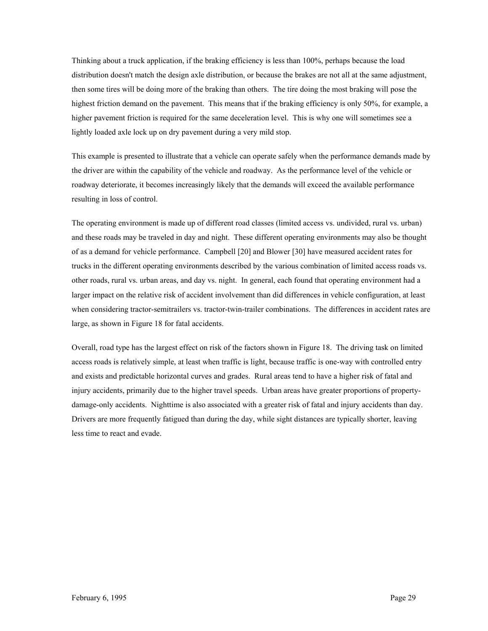Thinking about a truck application, if the braking efficiency is less than 100%, perhaps because the load distribution doesn't match the design axle distribution, or because the brakes are not all at the same adjustment, then some tires will be doing more of the braking than others. The tire doing the most braking will pose the highest friction demand on the pavement. This means that if the braking efficiency is only 50%, for example, a higher pavement friction is required for the same deceleration level. This is why one will sometimes see a lightly loaded axle lock up on dry pavement during a very mild stop.

This example is presented to illustrate that a vehicle can operate safely when the performance demands made by the driver are within the capability of the vehicle and roadway. As the performance level of the vehicle or roadway deteriorate, it becomes increasingly likely that the demands will exceed the available performance resulting in loss of control.

The operating environment is made up of different road classes (limited access vs. undivided, rural vs. urban) and these roads may be traveled in day and night. These different operating environments may also be thought of as a demand for vehicle performance. Campbell [20] and Blower [30] have measured accident rates for trucks in the different operating environments described by the various combination of limited access roads vs. other roads, rural vs. urban areas, and day vs. night. In general, each found that operating environment had a larger impact on the relative risk of accident involvement than did differences in vehicle configuration, at least when considering tractor-semitrailers vs. tractor-twin-trailer combinations. The differences in accident rates are large, as shown in Figure 18 for fatal accidents.

Overall, road type has the largest effect on risk of the factors shown in Figure 18. The driving task on limited access roads is relatively simple, at least when traffic is light, because traffic is one-way with controlled entry and exists and predictable horizontal curves and grades. Rural areas tend to have a higher risk of fatal and injury accidents, primarily due to the higher travel speeds. Urban areas have greater proportions of propertydamage-only accidents. Nighttime is also associated with a greater risk of fatal and injury accidents than day. Drivers are more frequently fatigued than during the day, while sight distances are typically shorter, leaving less time to react and evade.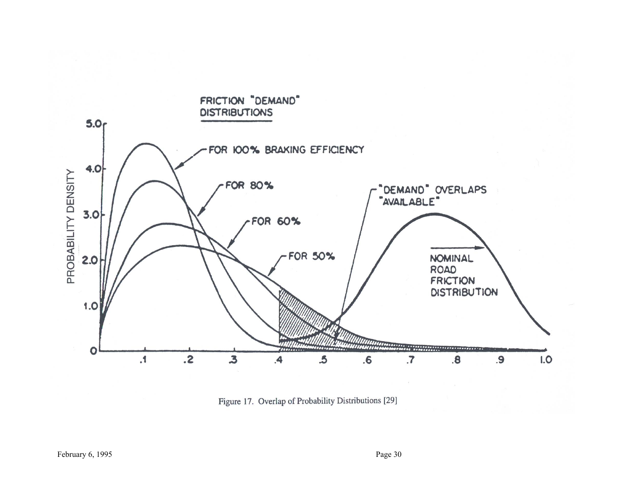

Figure 17. Overlap of Probability Distributions [29]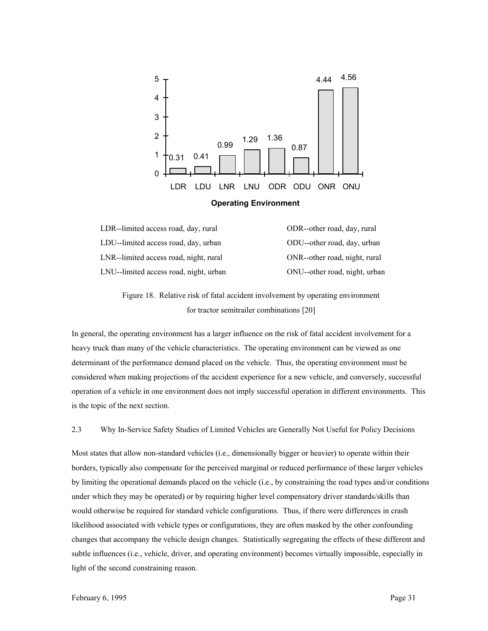

| LDR--limited access road, day, rural   | ODR--other road, day, rural   |
|----------------------------------------|-------------------------------|
| LDU--limited access road, day, urban   | ODU--other road, day, urban   |
| LNR--limited access road, night, rural | ONR--other road, night, rural |
| LNU-limited access road, night, urban  | ONU--other road, night, urban |

Figure 18. Relative risk of fatal accident involvement by operating environment for tractor semitrailer combinations [20]

In general, the operating environment has a larger influence on the risk of fatal accident involvement for a heavy truck than many of the vehicle characteristics. The operating environment can be viewed as one determinant of the performance demand placed on the vehicle. Thus, the operating environment must be considered when making projections of the accident experience for a new vehicle, and conversely, successful operation of a vehicle in one environment does not imply successful operation in different environments. This is the topic of the next section.

2.3 Why In-Service Safety Studies of Limited Vehicles are Generally Not Useful for Policy Decisions

Most states that allow non-standard vehicles (i.e., dimensionally bigger or heavier) to operate within their borders, typically also compensate for the perceived marginal or reduced performance of these larger vehicles by limiting the operational demands placed on the vehicle (i.e., by constraining the road types and/or conditions under which they may be operated) or by requiring higher level compensatory driver standards/skills than would otherwise be required for standard vehicle configurations. Thus, if there were differences in crash likelihood associated with vehicle types or configurations, they are often masked by the other confounding changes that accompany the vehicle design changes. Statistically segregating the effects of these different and subtle influences (i.e., vehicle, driver, and operating environment) becomes virtually impossible, especially in light of the second constraining reason.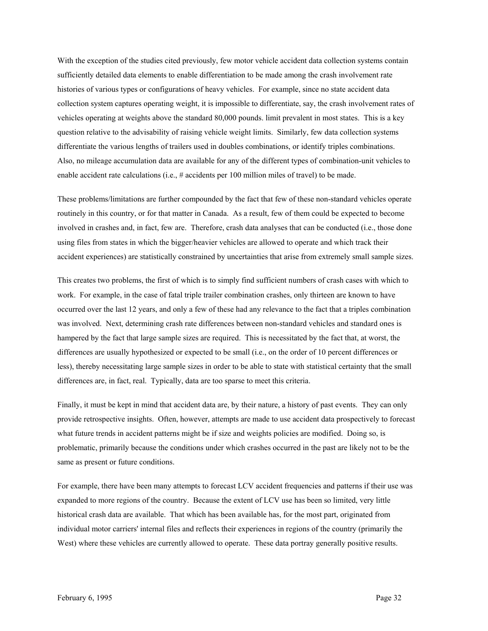With the exception of the studies cited previously, few motor vehicle accident data collection systems contain sufficiently detailed data elements to enable differentiation to be made among the crash involvement rate histories of various types or configurations of heavy vehicles. For example, since no state accident data collection system captures operating weight, it is impossible to differentiate, say, the crash involvement rates of vehicles operating at weights above the standard 80,000 pounds. limit prevalent in most states. This is a key question relative to the advisability of raising vehicle weight limits. Similarly, few data collection systems differentiate the various lengths of trailers used in doubles combinations, or identify triples combinations. Also, no mileage accumulation data are available for any of the different types of combination-unit vehicles to enable accident rate calculations (i.e., # accidents per 100 million miles of travel) to be made.

These problems/limitations are further compounded by the fact that few of these non-standard vehicles operate routinely in this country, or for that matter in Canada. As a result, few of them could be expected to become involved in crashes and, in fact, few are. Therefore, crash data analyses that can be conducted (i.e., those done using files from states in which the bigger/heavier vehicles are allowed to operate and which track their accident experiences) are statistically constrained by uncertainties that arise from extremely small sample sizes.

This creates two problems, the first of which is to simply find sufficient numbers of crash cases with which to work. For example, in the case of fatal triple trailer combination crashes, only thirteen are known to have occurred over the last 12 years, and only a few of these had any relevance to the fact that a triples combination was involved. Next, determining crash rate differences between non-standard vehicles and standard ones is hampered by the fact that large sample sizes are required. This is necessitated by the fact that, at worst, the differences are usually hypothesized or expected to be small (i.e., on the order of 10 percent differences or less), thereby necessitating large sample sizes in order to be able to state with statistical certainty that the small differences are, in fact, real. Typically, data are too sparse to meet this criteria.

Finally, it must be kept in mind that accident data are, by their nature, a history of past events. They can only provide retrospective insights. Often, however, attempts are made to use accident data prospectively to forecast what future trends in accident patterns might be if size and weights policies are modified. Doing so, is problematic, primarily because the conditions under which crashes occurred in the past are likely not to be the same as present or future conditions.

For example, there have been many attempts to forecast LCV accident frequencies and patterns if their use was expanded to more regions of the country. Because the extent of LCV use has been so limited, very little historical crash data are available. That which has been available has, for the most part, originated from individual motor carriers' internal files and reflects their experiences in regions of the country (primarily the West) where these vehicles are currently allowed to operate. These data portray generally positive results.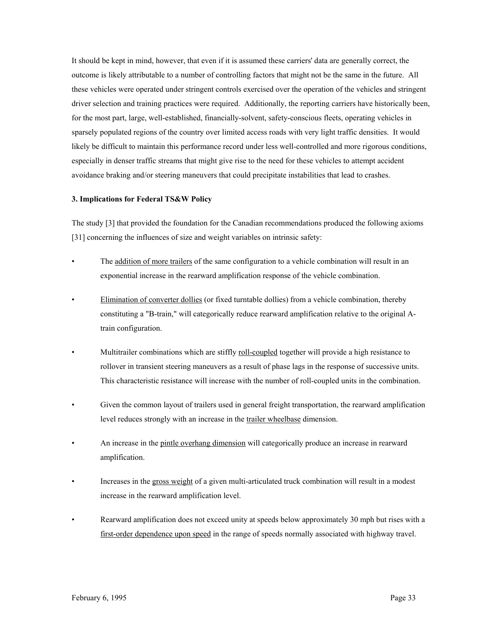It should be kept in mind, however, that even if it is assumed these carriers' data are generally correct, the outcome is likely attributable to a number of controlling factors that might not be the same in the future. All these vehicles were operated under stringent controls exercised over the operation of the vehicles and stringent driver selection and training practices were required. Additionally, the reporting carriers have historically been, for the most part, large, well-established, financially-solvent, safety-conscious fleets, operating vehicles in sparsely populated regions of the country over limited access roads with very light traffic densities. It would likely be difficult to maintain this performance record under less well-controlled and more rigorous conditions, especially in denser traffic streams that might give rise to the need for these vehicles to attempt accident avoidance braking and/or steering maneuvers that could precipitate instabilities that lead to crashes.

### **3. Implications for Federal TS&W Policy**

The study [3] that provided the foundation for the Canadian recommendations produced the following axioms [31] concerning the influences of size and weight variables on intrinsic safety:

- The <u>addition of more trailers</u> of the same configuration to a vehicle combination will result in an exponential increase in the rearward amplification response of the vehicle combination.
- Elimination of converter dollies (or fixed turntable dollies) from a vehicle combination, thereby constituting a "B-train," will categorically reduce rearward amplification relative to the original Atrain configuration.
- Multitrailer combinations which are stiffly roll-coupled together will provide a high resistance to rollover in transient steering maneuvers as a result of phase lags in the response of successive units. This characteristic resistance will increase with the number of roll-coupled units in the combination.
- Given the common layout of trailers used in general freight transportation, the rearward amplification level reduces strongly with an increase in the trailer wheelbase dimension.
- An increase in the pintle overhang dimension will categorically produce an increase in rearward amplification.
- Increases in the gross weight of a given multi-articulated truck combination will result in a modest increase in the rearward amplification level.
- Rearward amplification does not exceed unity at speeds below approximately 30 mph but rises with a first-order dependence upon speed in the range of speeds normally associated with highway travel.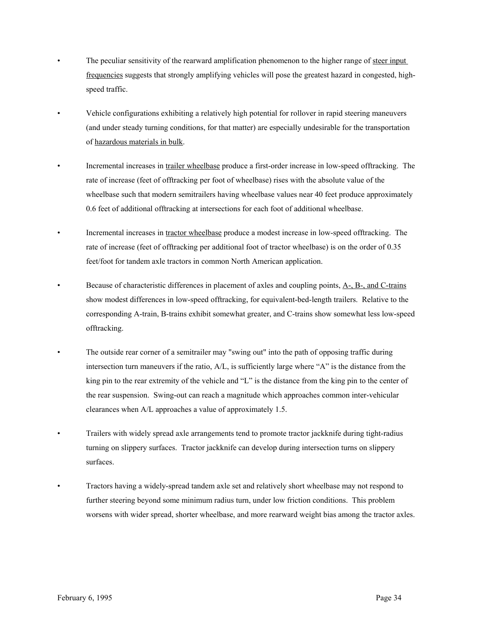- The peculiar sensitivity of the rearward amplification phenomenon to the higher range of steer input frequencies suggests that strongly amplifying vehicles will pose the greatest hazard in congested, highspeed traffic.
- Vehicle configurations exhibiting a relatively high potential for rollover in rapid steering maneuvers (and under steady turning conditions, for that matter) are especially undesirable for the transportation of hazardous materials in bulk.
- Incremental increases in trailer wheelbase produce a first-order increase in low-speed offtracking. The rate of increase (feet of offtracking per foot of wheelbase) rises with the absolute value of the wheelbase such that modern semitrailers having wheelbase values near 40 feet produce approximately 0.6 feet of additional offtracking at intersections for each foot of additional wheelbase.
- Incremental increases in tractor wheelbase produce a modest increase in low-speed offtracking. The rate of increase (feet of offtracking per additional foot of tractor wheelbase) is on the order of 0.35 feet/foot for tandem axle tractors in common North American application.
- Because of characteristic differences in placement of axles and coupling points,  $A_7$ ,  $B_7$ , and C-trains show modest differences in low-speed offtracking, for equivalent-bed-length trailers. Relative to the corresponding A-train, B-trains exhibit somewhat greater, and C-trains show somewhat less low-speed offtracking.
- The outside rear corner of a semitrailer may "swing out" into the path of opposing traffic during intersection turn maneuvers if the ratio, A/L, is sufficiently large where "A" is the distance from the king pin to the rear extremity of the vehicle and "L" is the distance from the king pin to the center of the rear suspension. Swing-out can reach a magnitude which approaches common inter-vehicular clearances when A/L approaches a value of approximately 1.5.
- Trailers with widely spread axle arrangements tend to promote tractor jackknife during tight-radius turning on slippery surfaces. Tractor jackknife can develop during intersection turns on slippery surfaces.
- Tractors having a widely-spread tandem axle set and relatively short wheelbase may not respond to further steering beyond some minimum radius turn, under low friction conditions. This problem worsens with wider spread, shorter wheelbase, and more rearward weight bias among the tractor axles.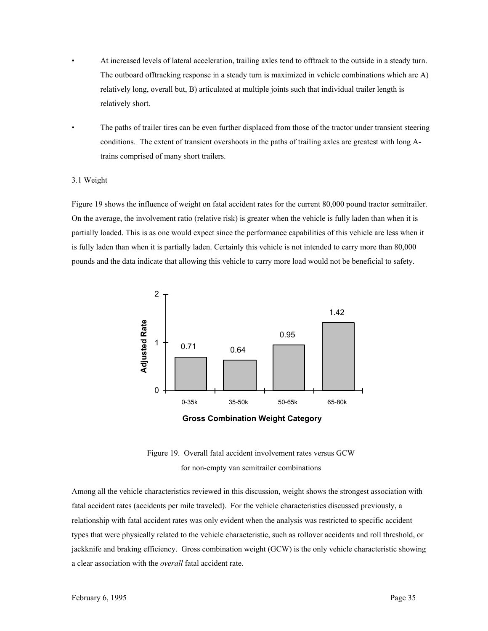- At increased levels of lateral acceleration, trailing axles tend to offtrack to the outside in a steady turn. The outboard offtracking response in a steady turn is maximized in vehicle combinations which are A) relatively long, overall but, B) articulated at multiple joints such that individual trailer length is relatively short.
- The paths of trailer tires can be even further displaced from those of the tractor under transient steering conditions. The extent of transient overshoots in the paths of trailing axles are greatest with long Atrains comprised of many short trailers.

### 3.1 Weight

Figure 19 shows the influence of weight on fatal accident rates for the current 80,000 pound tractor semitrailer. On the average, the involvement ratio (relative risk) is greater when the vehicle is fully laden than when it is partially loaded. This is as one would expect since the performance capabilities of this vehicle are less when it is fully laden than when it is partially laden. Certainly this vehicle is not intended to carry more than 80,000 pounds and the data indicate that allowing this vehicle to carry more load would not be beneficial to safety.



**Gross Combination Weight Category**

Figure 19. Overall fatal accident involvement rates versus GCW for non-empty van semitrailer combinations

Among all the vehicle characteristics reviewed in this discussion, weight shows the strongest association with fatal accident rates (accidents per mile traveled). For the vehicle characteristics discussed previously, a relationship with fatal accident rates was only evident when the analysis was restricted to specific accident types that were physically related to the vehicle characteristic, such as rollover accidents and roll threshold, or jackknife and braking efficiency. Gross combination weight (GCW) is the only vehicle characteristic showing a clear association with the *overall* fatal accident rate.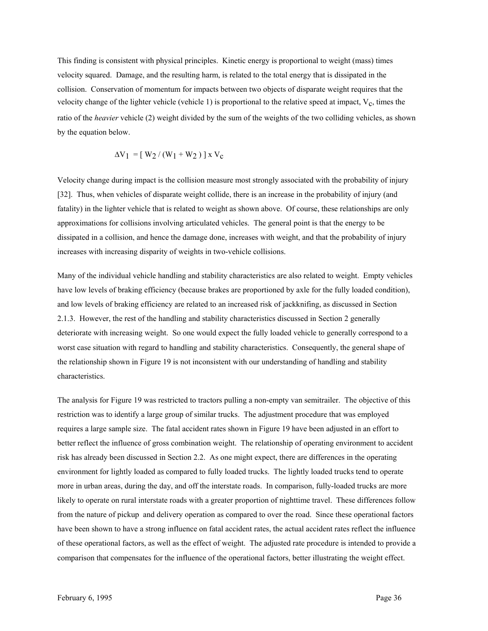This finding is consistent with physical principles. Kinetic energy is proportional to weight (mass) times velocity squared. Damage, and the resulting harm, is related to the total energy that is dissipated in the collision. Conservation of momentum for impacts between two objects of disparate weight requires that the velocity change of the lighter vehicle (vehicle 1) is proportional to the relative speed at impact,  $V_c$ , times the ratio of the *heavier* vehicle (2) weight divided by the sum of the weights of the two colliding vehicles, as shown by the equation below.

$$
\Delta V_1 = [ W_2 / (W_1 + W_2) ] x V_c
$$

Velocity change during impact is the collision measure most strongly associated with the probability of injury [32]. Thus, when vehicles of disparate weight collide, there is an increase in the probability of injury (and fatality) in the lighter vehicle that is related to weight as shown above. Of course, these relationships are only approximations for collisions involving articulated vehicles. The general point is that the energy to be dissipated in a collision, and hence the damage done, increases with weight, and that the probability of injury increases with increasing disparity of weights in two-vehicle collisions.

Many of the individual vehicle handling and stability characteristics are also related to weight. Empty vehicles have low levels of braking efficiency (because brakes are proportioned by axle for the fully loaded condition), and low levels of braking efficiency are related to an increased risk of jackknifing, as discussed in Section 2.1.3. However, the rest of the handling and stability characteristics discussed in Section 2 generally deteriorate with increasing weight. So one would expect the fully loaded vehicle to generally correspond to a worst case situation with regard to handling and stability characteristics. Consequently, the general shape of the relationship shown in Figure 19 is not inconsistent with our understanding of handling and stability characteristics.

The analysis for Figure 19 was restricted to tractors pulling a non-empty van semitrailer. The objective of this restriction was to identify a large group of similar trucks. The adjustment procedure that was employed requires a large sample size. The fatal accident rates shown in Figure 19 have been adjusted in an effort to better reflect the influence of gross combination weight. The relationship of operating environment to accident risk has already been discussed in Section 2.2. As one might expect, there are differences in the operating environment for lightly loaded as compared to fully loaded trucks. The lightly loaded trucks tend to operate more in urban areas, during the day, and off the interstate roads. In comparison, fully-loaded trucks are more likely to operate on rural interstate roads with a greater proportion of nighttime travel. These differences follow from the nature of pickup and delivery operation as compared to over the road. Since these operational factors have been shown to have a strong influence on fatal accident rates, the actual accident rates reflect the influence of these operational factors, as well as the effect of weight. The adjusted rate procedure is intended to provide a comparison that compensates for the influence of the operational factors, better illustrating the weight effect.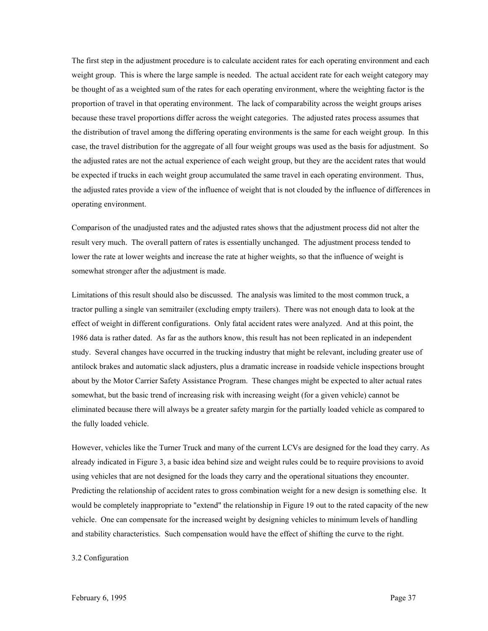The first step in the adjustment procedure is to calculate accident rates for each operating environment and each weight group. This is where the large sample is needed. The actual accident rate for each weight category may be thought of as a weighted sum of the rates for each operating environment, where the weighting factor is the proportion of travel in that operating environment. The lack of comparability across the weight groups arises because these travel proportions differ across the weight categories. The adjusted rates process assumes that the distribution of travel among the differing operating environments is the same for each weight group. In this case, the travel distribution for the aggregate of all four weight groups was used as the basis for adjustment. So the adjusted rates are not the actual experience of each weight group, but they are the accident rates that would be expected if trucks in each weight group accumulated the same travel in each operating environment. Thus, the adjusted rates provide a view of the influence of weight that is not clouded by the influence of differences in operating environment.

Comparison of the unadjusted rates and the adjusted rates shows that the adjustment process did not alter the result very much. The overall pattern of rates is essentially unchanged. The adjustment process tended to lower the rate at lower weights and increase the rate at higher weights, so that the influence of weight is somewhat stronger after the adjustment is made.

Limitations of this result should also be discussed. The analysis was limited to the most common truck, a tractor pulling a single van semitrailer (excluding empty trailers). There was not enough data to look at the effect of weight in different configurations. Only fatal accident rates were analyzed. And at this point, the 1986 data is rather dated. As far as the authors know, this result has not been replicated in an independent study. Several changes have occurred in the trucking industry that might be relevant, including greater use of antilock brakes and automatic slack adjusters, plus a dramatic increase in roadside vehicle inspections brought about by the Motor Carrier Safety Assistance Program. These changes might be expected to alter actual rates somewhat, but the basic trend of increasing risk with increasing weight (for a given vehicle) cannot be eliminated because there will always be a greater safety margin for the partially loaded vehicle as compared to the fully loaded vehicle.

However, vehicles like the Turner Truck and many of the current LCVs are designed for the load they carry. As already indicated in Figure 3, a basic idea behind size and weight rules could be to require provisions to avoid using vehicles that are not designed for the loads they carry and the operational situations they encounter. Predicting the relationship of accident rates to gross combination weight for a new design is something else. It would be completely inappropriate to "extend" the relationship in Figure 19 out to the rated capacity of the new vehicle. One can compensate for the increased weight by designing vehicles to minimum levels of handling and stability characteristics. Such compensation would have the effect of shifting the curve to the right.

3.2 Configuration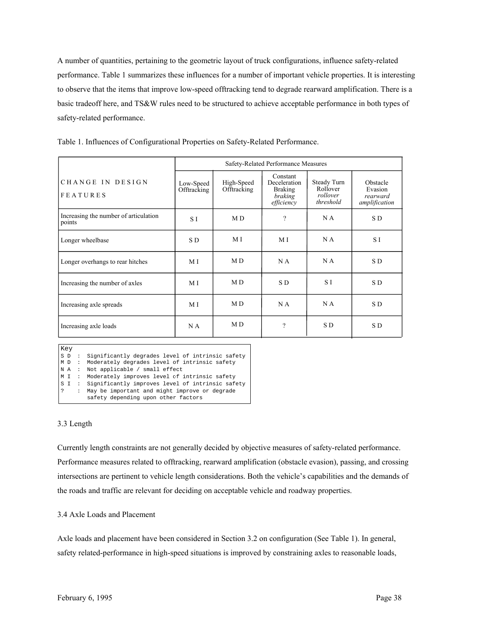A number of quantities, pertaining to the geometric layout of truck configurations, influence safety-related performance. Table 1 summarizes these influences for a number of important vehicle properties. It is interesting to observe that the items that improve low-speed offtracking tend to degrade rearward amplification. There is a basic tradeoff here, and TS&W rules need to be structured to achieve acceptable performance in both types of safety-related performance.

|                                                 | Safety-Related Performance Measures |                           |                                                                     |                                                  |                                                  |  |
|-------------------------------------------------|-------------------------------------|---------------------------|---------------------------------------------------------------------|--------------------------------------------------|--------------------------------------------------|--|
| CHANGE IN DESIGN<br><b>FEATURES</b>             | Low-Speed<br>Offtracking            | High-Speed<br>Offtracking | Constant<br>Deceleration<br><b>Braking</b><br>braking<br>efficiency | Steady Turn<br>Rollover<br>rollover<br>threshold | Obstacle<br>Evasion<br>rearward<br>amplification |  |
| Increasing the number of articulation<br>points | S I                                 | M D                       | $\gamma$                                                            | N A                                              | S D                                              |  |
| Longer wheelbase                                | S D                                 | МI                        | МI                                                                  | N A                                              | S I                                              |  |
| Longer overhangs to rear hitches                | M I                                 | MD.                       | N A                                                                 | N A                                              | S D                                              |  |
| Increasing the number of axles                  | M I                                 | MD.                       | S D                                                                 | S I                                              | S D                                              |  |
| Increasing axle spreads                         | M I                                 | M D                       | N A                                                                 | N A                                              | SD.                                              |  |
| Increasing axle loads                           | N A                                 | MD.                       | ?                                                                   | S D                                              | S D                                              |  |

Table 1. Influences of Configurational Properties on Safety-Related Performance.

Key S D : Significantly degrades level of intrinsic safety S I : Significantly improves level of intrinsic safety<br>? : May be important and might improve or degrade M I : Moderately improves level of intrinsic safety M D : Moderately degrades level of intrinsic safety N A : Not applicable / small effect ? : May be important and might improve or degrade safety depending upon other factors

# 3.3 Length

Currently length constraints are not generally decided by objective measures of safety-related performance. Performance measures related to offtracking, rearward amplification (obstacle evasion), passing, and crossing intersections are pertinent to vehicle length considerations. Both the vehicle's capabilities and the demands of the roads and traffic are relevant for deciding on acceptable vehicle and roadway properties.

# 3.4 Axle Loads and Placement

Axle loads and placement have been considered in Section 3.2 on configuration (See Table 1). In general, safety related-performance in high-speed situations is improved by constraining axles to reasonable loads,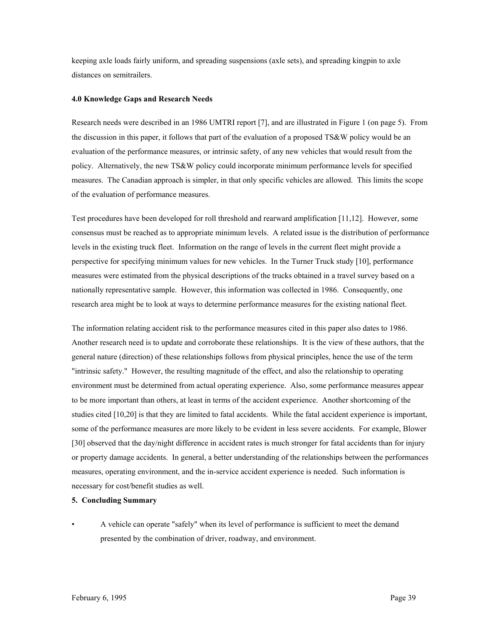keeping axle loads fairly uniform, and spreading suspensions (axle sets), and spreading kingpin to axle distances on semitrailers.

## **4.0 Knowledge Gaps and Research Needs**

Research needs were described in an 1986 UMTRI report [7], and are illustrated in Figure 1 (on page 5). From the discussion in this paper, it follows that part of the evaluation of a proposed  $TS\&W$  policy would be an evaluation of the performance measures, or intrinsic safety, of any new vehicles that would result from the policy. Alternatively, the new TS&W policy could incorporate minimum performance levels for specified measures. The Canadian approach is simpler, in that only specific vehicles are allowed. This limits the scope of the evaluation of performance measures.

Test procedures have been developed for roll threshold and rearward amplification [11,12]. However, some consensus must be reached as to appropriate minimum levels. A related issue is the distribution of performance levels in the existing truck fleet. Information on the range of levels in the current fleet might provide a perspective for specifying minimum values for new vehicles. In the Turner Truck study [10], performance measures were estimated from the physical descriptions of the trucks obtained in a travel survey based on a nationally representative sample. However, this information was collected in 1986. Consequently, one research area might be to look at ways to determine performance measures for the existing national fleet.

The information relating accident risk to the performance measures cited in this paper also dates to 1986. Another research need is to update and corroborate these relationships. It is the view of these authors, that the general nature (direction) of these relationships follows from physical principles, hence the use of the term "intrinsic safety." However, the resulting magnitude of the effect, and also the relationship to operating environment must be determined from actual operating experience. Also, some performance measures appear to be more important than others, at least in terms of the accident experience. Another shortcoming of the studies cited [10,20] is that they are limited to fatal accidents. While the fatal accident experience is important, some of the performance measures are more likely to be evident in less severe accidents. For example, Blower [30] observed that the day/night difference in accident rates is much stronger for fatal accidents than for injury or property damage accidents. In general, a better understanding of the relationships between the performances measures, operating environment, and the in-service accident experience is needed. Such information is necessary for cost/benefit studies as well.

### **5. Concluding Summary**

• A vehicle can operate "safely" when its level of performance is sufficient to meet the demand presented by the combination of driver, roadway, and environment.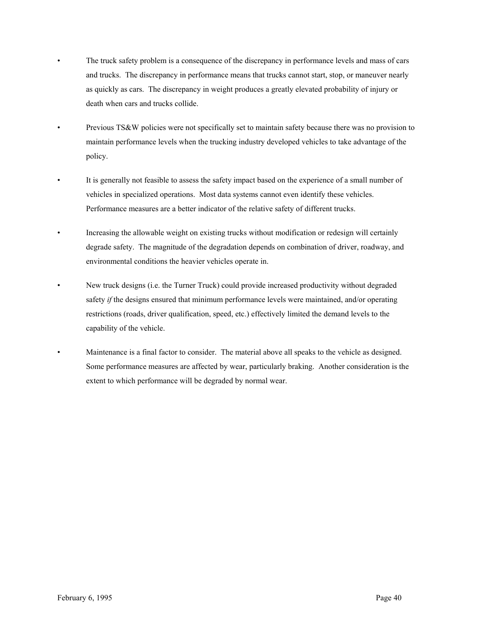- The truck safety problem is a consequence of the discrepancy in performance levels and mass of cars and trucks. The discrepancy in performance means that trucks cannot start, stop, or maneuver nearly as quickly as cars. The discrepancy in weight produces a greatly elevated probability of injury or death when cars and trucks collide.
- Previous TS&W policies were not specifically set to maintain safety because there was no provision to maintain performance levels when the trucking industry developed vehicles to take advantage of the policy.
- It is generally not feasible to assess the safety impact based on the experience of a small number of vehicles in specialized operations. Most data systems cannot even identify these vehicles. Performance measures are a better indicator of the relative safety of different trucks.
- Increasing the allowable weight on existing trucks without modification or redesign will certainly degrade safety. The magnitude of the degradation depends on combination of driver, roadway, and environmental conditions the heavier vehicles operate in.
- New truck designs (i.e. the Turner Truck) could provide increased productivity without degraded safety *if* the designs ensured that minimum performance levels were maintained, and/or operating restrictions (roads, driver qualification, speed, etc.) effectively limited the demand levels to the capability of the vehicle.
- Maintenance is a final factor to consider. The material above all speaks to the vehicle as designed. Some performance measures are affected by wear, particularly braking. Another consideration is the extent to which performance will be degraded by normal wear.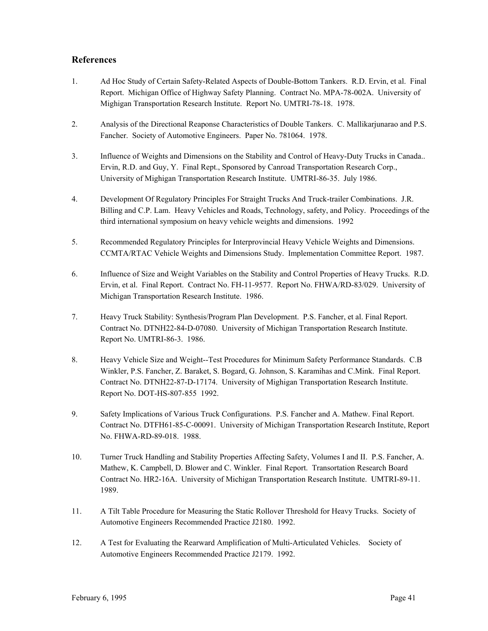# **References**

- 1. Ad Hoc Study of Certain Safety-Related Aspects of Double-Bottom Tankers. R.D. Ervin, et al. Final Report. Michigan Office of Highway Safety Planning. Contract No. MPA-78-002A. University of Mighigan Transportation Research Institute. Report No. UMTRI-78-18. 1978.
- 2. Analysis of the Directional Reaponse Characteristics of Double Tankers. C. Mallikarjunarao and P.S. Fancher. Society of Automotive Engineers. Paper No. 781064. 1978.
- 3. Influence of Weights and Dimensions on the Stability and Control of Heavy-Duty Trucks in Canada.. Ervin, R.D. and Guy, Y. Final Rept., Sponsored by Canroad Transportation Research Corp., University of Mighigan Transportation Research Institute. UMTRI-86-35. July 1986.
- 4. Development Of Regulatory Principles For Straight Trucks And Truck-trailer Combinations. J.R. Billing and C.P. Lam. Heavy Vehicles and Roads, Technology, safety, and Policy. Proceedings of the third international symposium on heavy vehicle weights and dimensions. 1992
- 5. Recommended Regulatory Principles for Interprovincial Heavy Vehicle Weights and Dimensions. CCMTA/RTAC Vehicle Weights and Dimensions Study. Implementation Committee Report. 1987.
- 6. Influence of Size and Weight Variables on the Stability and Control Properties of Heavy Trucks. R.D. Ervin, et al. Final Report. Contract No. FH-11-9577. Report No. FHWA/RD-83/029. University of Michigan Transportation Research Institute. 1986.
- 7. Heavy Truck Stability: Synthesis/Program Plan Development. P.S. Fancher, et al. Final Report. Contract No. DTNH22-84-D-07080. University of Michigan Transportation Research Institute. Report No. UMTRI-86-3. 1986.
- 8. Heavy Vehicle Size and Weight--Test Procedures for Minimum Safety Performance Standards. C.B Winkler, P.S. Fancher, Z. Baraket, S. Bogard, G. Johnson, S. Karamihas and C.Mink. Final Report. Contract No. DTNH22-87-D-17174. University of Mighigan Transportation Research Institute. Report No. DOT-HS-807-855 1992.
- 9. Safety Implications of Various Truck Configurations. P.S. Fancher and A. Mathew. Final Report. Contract No. DTFH61-85-C-00091. University of Michigan Transportation Research Institute, Report No. FHWA-RD-89-018. 1988.
- 10. Turner Truck Handling and Stability Properties Affecting Safety, Volumes I and II. P.S. Fancher, A. Mathew, K. Campbell, D. Blower and C. Winkler. Final Report. Transortation Research Board Contract No. HR2-16A. University of Michigan Transportation Research Institute. UMTRI-89-11. 1989.
- 11. A Tilt Table Procedure for Measuring the Static Rollover Threshold for Heavy Trucks. Society of Automotive Engineers Recommended Practice J2180. 1992.
- 12. A Test for Evaluating the Rearward Amplification of Multi-Articulated Vehicles. Society of Automotive Engineers Recommended Practice J2179. 1992.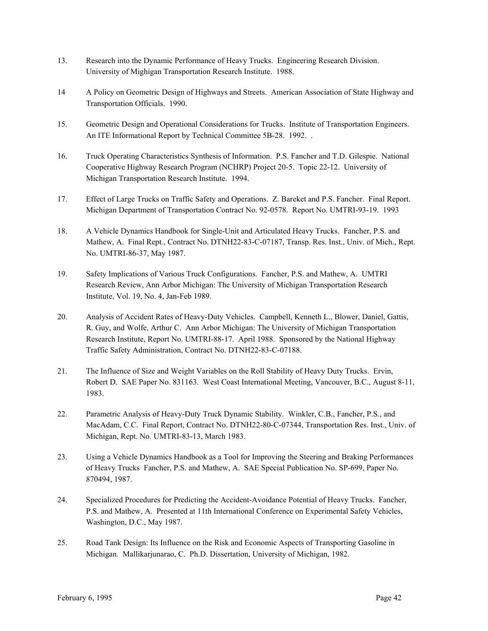- 13. Research into the Dynamic Performance of Heavy Trucks. Engineering Research Division. University of Mighigan Transportation Research Institute. 1988.
- 14 A Policy on Geometric Design of Highways and Streets. American Association of State Highway and Transportation Officials. 1990.
- 15. Geometric Design and Operational Considerations for Trucks. Institute of Transportation Engineers. An ITE Informational Report by Technical Committee 5B-28. 1992. .
- 16. Truck Operating Characteristics Synthesis of Information. P.S. Fancher and T.D. Gilespie. National Cooperative Highway Research Program (NCHRP) Project 20-5. Topic 22-12. University of Michigan Transportation Research Institute. 1994.
- 17. Effect of Large Trucks on Traffic Safety and Operations. Z. Bareket and P.S. Fancher. Final Report. Michigan Department of Transportation Contract No. 92-0578. Report No. UMTRI-93-19. 1993
- 18. A Vehicle Dynamics Handbook for Single-Unit and Articulated Heavy Trucks. Fancher, P.S. and Mathew, A. Final Rept., Contract No. DTNH22-83-C-07187, Transp. Res. Inst., Univ. of Mich., Rept. No. UMTRI-86-37, May 1987.
- 19. Safety Implications of Various Truck Configurations. Fancher, P.S. and Mathew, A. UMTRI Research Review, Ann Arbor Michigan: The University of Michigan Transportation Research Institute, Vol. 19, No. 4, Jan-Feb 1989.
- 20. Analysis of Accident Rates of Heavy-Duty Vehicles. Campbell, Kenneth L., Blower, Daniel, Gattis, R. Guy, and Wolfe, Arthur C. Ann Arbor Michigan: The University of Michigan Transportation Research Institute, Report No. UMTRI-88-17. April 1988. Sponsored by the National Highway Traffic Safety Administration, Contract No. DTNH22-83-C-07188.
- 21. The Influence of Size and Weight Variables on the Roll Stability of Heavy Duty Trucks. Ervin, Robert D. SAE Paper No. 831163. West Coast International Meeting, Vancouver, B.C., August 8-11, 1983.
- 22. Parametric Analysis of Heavy-Duty Truck Dynamic Stability. Winkler, C.B., Fancher, P.S., and MacAdam, C.C. Final Report, Contract No. DTNH22-80-C-07344, Transportation Res. Inst., Univ. of Michigan, Rept. No. UMTRI-83-13, March 1983.
- 23. Using a Vehicle Dynamics Handbook as a Tool for Improving the Steering and Braking Performances of Heavy Trucks Fancher, P.S. and Mathew, A. SAE Special Publication No. SP-699, Paper No. 870494, 1987.
- 24. Specialized Procedures for Predicting the Accident-Avoidance Potential of Heavy Trucks. Fancher, P.S. and Mathew, A. Presented at 11th International Conference on Experimental Safety Vehicles, Washington, D.C., May 1987.
- 25. Road Tank Design: Its Influence on the Risk and Economic Aspects of Transporting Gasoline in Michigan. Mallikarjunarao, C. Ph.D. Dissertation, University of Michigan, 1982.